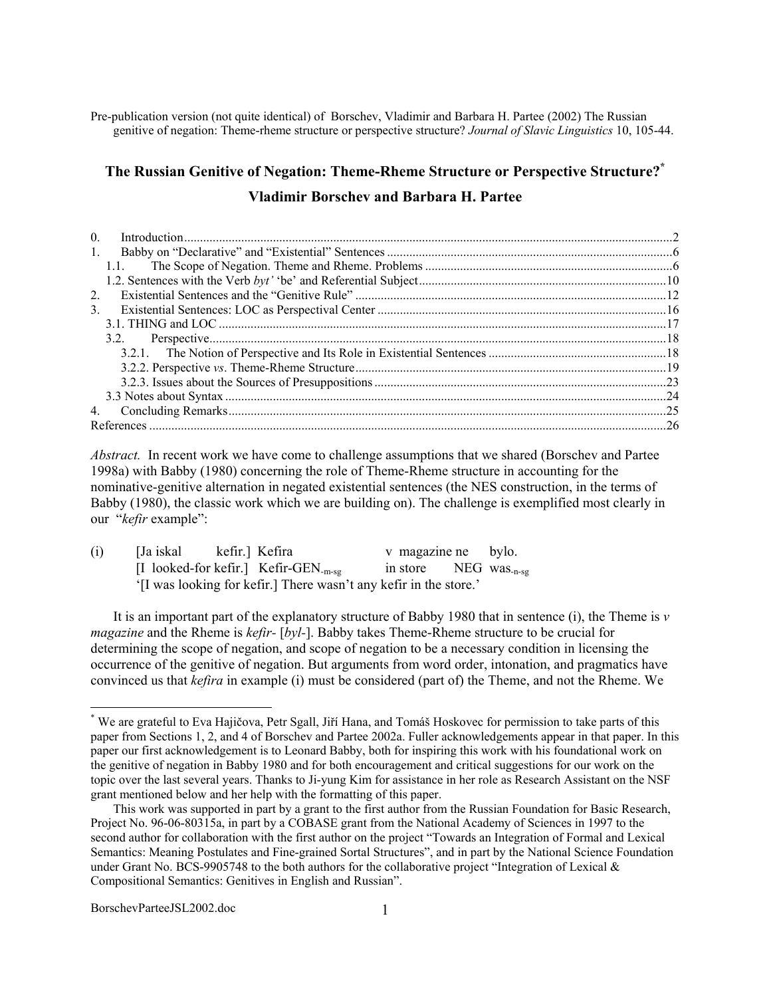Pre-publication version (not quite identical) of Borschev, Vladimir and Barbara H. Partee (2002) The Russian genitive of negation: Theme-rheme structure or perspective structure? *Journal of Slavic Linguistics* 10, 105-44.

# **The Russian Genitive of Negation: Theme-Rheme Structure or Perspective Structure?\* Vladimir Borschev and Barbara H. Partee**

| $\Omega$       |  |
|----------------|--|
| 1.             |  |
| 1.1.           |  |
|                |  |
| 2.             |  |
| 3 <sub>1</sub> |  |
|                |  |
|                |  |
|                |  |
|                |  |
|                |  |
|                |  |
| $4_{\cdot}$    |  |
|                |  |

*Abstract.* In recent work we have come to challenge assumptions that we shared (Borschev and Partee 1998a) with Babby (1980) concerning the role of Theme-Rheme structure in accounting for the nominative-genitive alternation in negated existential sentences (the NES construction, in the terms of Babby (1980), the classic work which we are building on). The challenge is exemplified most clearly in our "*kefir* example":

| (i) | [Ja iskal kefir.] Kefira |                                                                   | v magazine ne bylo.               |  |
|-----|--------------------------|-------------------------------------------------------------------|-----------------------------------|--|
|     |                          | [I looked-for kefir.] Kefir-GEN <sub>-m-sg</sub>                  | in store NEG was. <sub>n-sg</sub> |  |
|     |                          | '[I was looking for kefir.] There wasn't any kefir in the store.' |                                   |  |

 It is an important part of the explanatory structure of Babby 1980 that in sentence (i), the Theme is *v magazine* and the Rheme is *kefir-* [*byl-*]. Babby takes Theme-Rheme structure to be crucial for determining the scope of negation, and scope of negation to be a necessary condition in licensing the occurrence of the genitive of negation. But arguments from word order, intonation, and pragmatics have convinced us that *kefira* in example (i) must be considered (part of) the Theme, and not the Rheme. We

<sup>\*</sup> We are grateful to Eva Hajičova, Petr Sgall, Jiří Hana, and Tomáš Hoskovec for permission to take parts of this paper from Sections 1, 2, and 4 of Borschev and Partee 2002a. Fuller acknowledgements appear in that paper. In this paper our first acknowledgement is to Leonard Babby, both for inspiring this work with his foundational work on the genitive of negation in Babby 1980 and for both encouragement and critical suggestions for our work on the topic over the last several years. Thanks to Ji-yung Kim for assistance in her role as Research Assistant on the NSF grant mentioned below and her help with the formatting of this paper.

This work was supported in part by a grant to the first author from the Russian Foundation for Basic Research, Project No. 96-06-80315a, in part by a COBASE grant from the National Academy of Sciences in 1997 to the second author for collaboration with the first author on the project "Towards an Integration of Formal and Lexical Semantics: Meaning Postulates and Fine-grained Sortal Structures", and in part by the National Science Foundation under Grant No. BCS-9905748 to the both authors for the collaborative project "Integration of Lexical & Compositional Semantics: Genitives in English and Russian".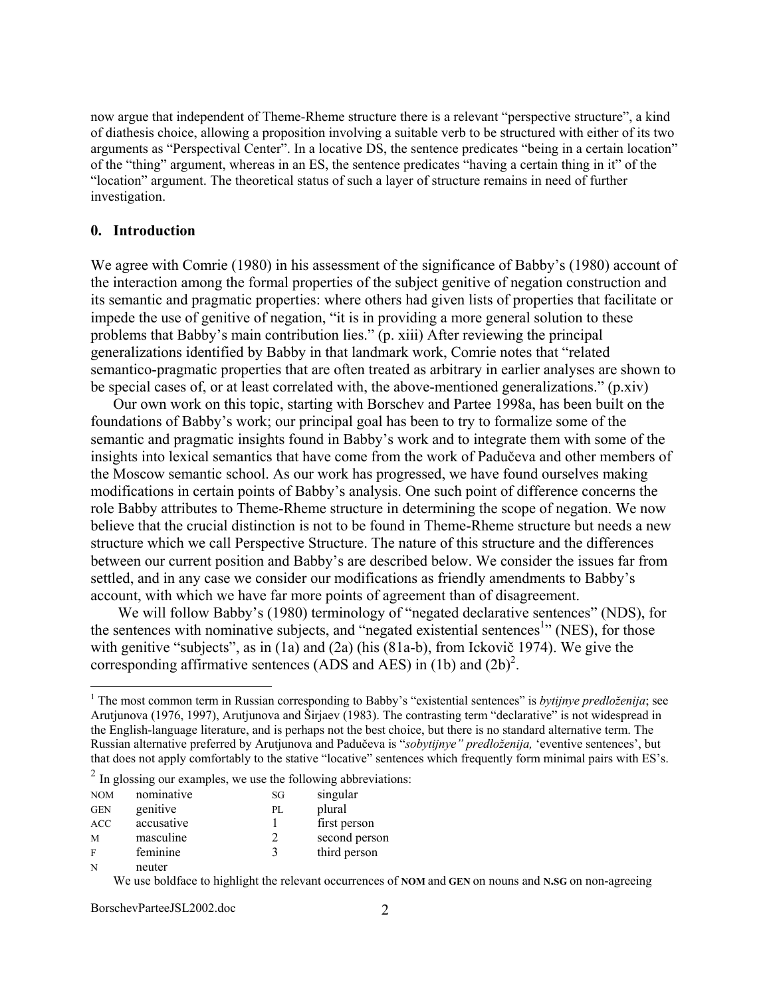now argue that independent of Theme-Rheme structure there is a relevant "perspective structure", a kind of diathesis choice, allowing a proposition involving a suitable verb to be structured with either of its two arguments as "Perspectival Center". In a locative DS, the sentence predicates "being in a certain location" of the "thing" argument, whereas in an ES, the sentence predicates "having a certain thing in it" of the "location" argument. The theoretical status of such a layer of structure remains in need of further investigation.

#### **0. Introduction**

We agree with Comrie (1980) in his assessment of the significance of Babby's (1980) account of the interaction among the formal properties of the subject genitive of negation construction and its semantic and pragmatic properties: where others had given lists of properties that facilitate or impede the use of genitive of negation, "it is in providing a more general solution to these problems that Babby's main contribution lies." (p. xiii) After reviewing the principal generalizations identified by Babby in that landmark work, Comrie notes that "related semantico-pragmatic properties that are often treated as arbitrary in earlier analyses are shown to be special cases of, or at least correlated with, the above-mentioned generalizations." (p.xiv)

 Our own work on this topic, starting with Borschev and Partee 1998a, has been built on the foundations of Babby's work; our principal goal has been to try to formalize some of the semantic and pragmatic insights found in Babby's work and to integrate them with some of the insights into lexical semantics that have come from the work of Padučeva and other members of the Moscow semantic school. As our work has progressed, we have found ourselves making modifications in certain points of Babby's analysis. One such point of difference concerns the role Babby attributes to Theme-Rheme structure in determining the scope of negation. We now believe that the crucial distinction is not to be found in Theme-Rheme structure but needs a new structure which we call Perspective Structure. The nature of this structure and the differences between our current position and Babby's are described below. We consider the issues far from settled, and in any case we consider our modifications as friendly amendments to Babby's account, with which we have far more points of agreement than of disagreement.

We will follow Babby's (1980) terminology of "negated declarative sentences" (NDS), for the sentences with nominative subjects, and "negated existential sentences<sup>1</sup>" (NES), for those with genitive "subjects", as in (1a) and (2a) (his (81a-b), from Ickovič 1974). We give the corresponding affirmative sentences (ADS and AES) in (1b) and  $(2b)^2$ .

 $2$  In glossing our examples, we use the following abbreviations:

| <b>NOM</b> | nominative | SG | singular      |
|------------|------------|----|---------------|
| <b>GEN</b> | genitive   | PL | plural        |
| <b>ACC</b> | accusative |    | first person  |
| M          | masculine  | 2  | second person |
| F          | feminine   | 3  | third person  |
| N          | neuter     |    |               |

We use boldface to highlight the relevant occurrences of **NOM** and **GEN** on nouns and **N.SG** on non-agreeing

BorschevParteeJSL2002.doc 2

<sup>&</sup>lt;sup>1</sup> The most common term in Russian corresponding to Babby's "existential sentences" is *bytijnye predloženija*; see Arutjunova (1976, 1997), Arutjunova and Širjaev (1983). The contrasting term "declarative" is not widespread in the English-language literature, and is perhaps not the best choice, but there is no standard alternative term. The Russian alternative preferred by Arutjunova and Padučeva is "*sobytijnye" predloženija,* 'eventive sentences', but that does not apply comfortably to the stative "locative" sentences which frequently form minimal pairs with ES's.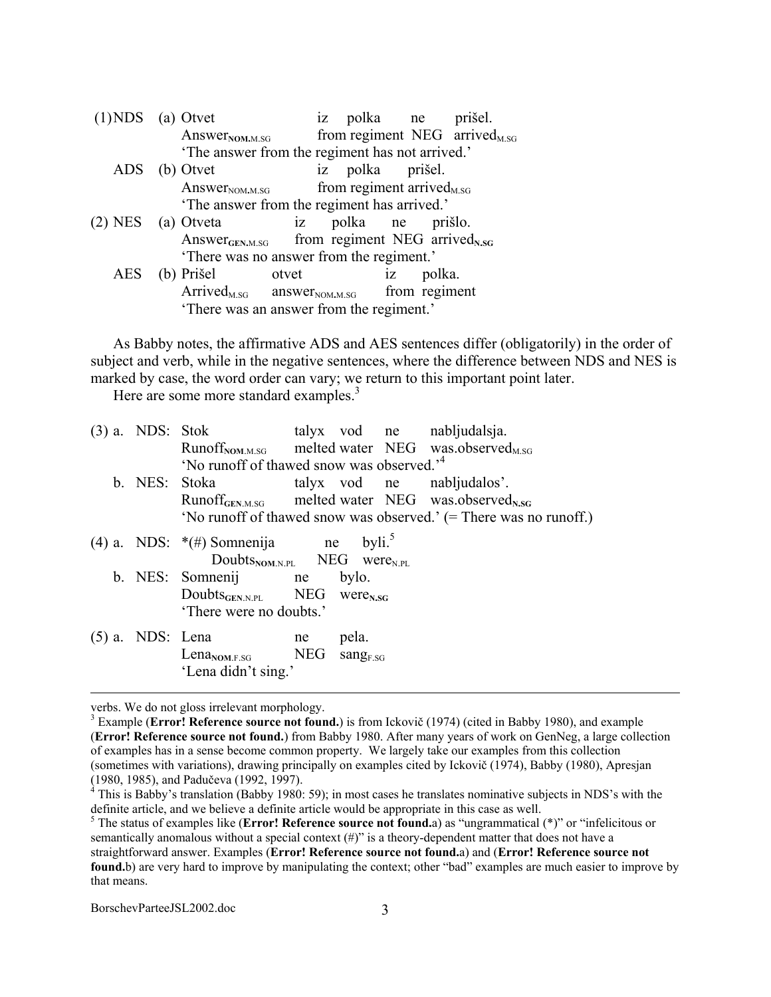|            | iz polka ne<br>$(1)NDS$ (a) Otvet<br>prišel.                        |
|------------|---------------------------------------------------------------------|
|            | from regiment NEG $\ar{irved}_{M.SG}$<br>$Answer_{NOM.M.SG}$        |
|            | 'The answer from the regiment has not arrived.'                     |
| ADS.       | iz polka prišel.<br>(b) Otvet                                       |
|            | from regiment arrived $_{M,SG}$<br>Answer NOM.M.SG                  |
|            | 'The answer from the regiment has arrived.'                         |
|            | $(2)$ NES $(a)$ Otveta<br>iz polka ne prišlo.                       |
|            | Answer <sub>GENM.SG</sub> from regiment NEG arrived <sub>N.SG</sub> |
|            | There was no answer from the regiment.'                             |
| <b>AES</b> | (b) Prišel<br>polka.<br>otvet<br>1Z                                 |
|            | $ArrivedM.SG$ answer <sub>NOM,M.SG</sub><br>from regiment           |
|            | There was an answer from the regiment.                              |

 As Babby notes, the affirmative ADS and AES sentences differ (obligatorily) in the order of subject and verb, while in the negative sentences, where the difference between NDS and NES is marked by case, the word order can vary; we return to this important point later.

Here are some more standard examples.<sup>3</sup>

|                    | $(3)$ a. NDS: Stok                                              |     |                | talyx vod ne nabljudalsja.                                        |
|--------------------|-----------------------------------------------------------------|-----|----------------|-------------------------------------------------------------------|
|                    | $Runoff_{NOMMSG}$ melted water NEG was observed <sub>MSG</sub>  |     |                |                                                                   |
|                    | 'No runoff of thawed snow was observed.' <sup>4</sup>           |     |                |                                                                   |
|                    | b. NES: Stoka talyx vod ne nabljudalos'.                        |     |                |                                                                   |
|                    | $Runoff_{GENMSG}$ melted water NEG was observed <sub>n.sG</sub> |     |                |                                                                   |
|                    |                                                                 |     |                | 'No runoff of thawed snow was observed.' (= There was no runoff.) |
|                    | (4) a. NDS: $*(\#)$ Somnenija ne byli. <sup>5</sup>             |     |                |                                                                   |
|                    | $Doubts_{NOM.N.PL}$ NEG were <sub>N.PL</sub>                    |     |                |                                                                   |
|                    | b. NES: Somnenij ne bylo.                                       |     |                |                                                                   |
|                    | $Doubts_{\text{GENN-PL}}$ NEG were <sub>n.sg</sub>              |     |                |                                                                   |
|                    | There were no doubts.'                                          |     |                |                                                                   |
| $(5)$ a. NDS: Lena |                                                                 | ne  | pela.          |                                                                   |
|                    | $Lena_{NOM.F.SG}$                                               | NEG | sang $_{F,SG}$ |                                                                   |
|                    | 'Lena didn't sing.'                                             |     |                |                                                                   |
|                    |                                                                 |     |                |                                                                   |

verbs. We do not gloss irrelevant morphology.

BorschevParteeJSL2002.doc 3

<sup>&</sup>lt;sup>3</sup> Example (**Error! Reference source not found.**) is from Ickovič (1974) (cited in Babby 1980), and example (**Error! Reference source not found.**) from Babby 1980. After many years of work on GenNeg, a large collection of examples has in a sense become common property. We largely take our examples from this collection (sometimes with variations), drawing principally on examples cited by Ickovič (1974), Babby (1980), Apresjan (1980, 1985), and Padučeva (1992, 1997). 4

 $\frac{1}{4}$  This is Babby's translation (Babby 1980: 59); in most cases he translates nominative subjects in NDS's with the definite article, and we believe a definite article would be appropriate in this case as well.

<sup>&</sup>lt;sup>5</sup> The status of examples like (**Error! Reference source not found.**a) as "ungrammatical (\*)" or "infelicitous or semantically anomalous without a special context (#)" is a theory-dependent matter that does not have a straightforward answer. Examples (**Error! Reference source not found.**a) and (**Error! Reference source not found.**b) are very hard to improve by manipulating the context; other "bad" examples are much easier to improve by that means.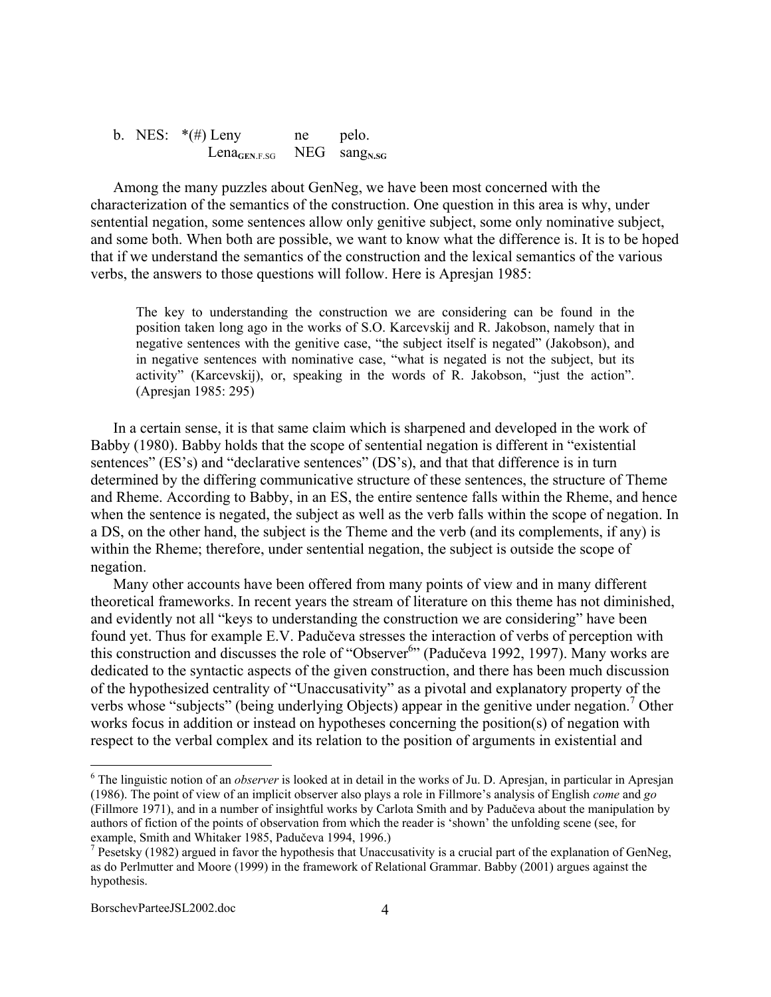b. NES:  $*(\#)$  Leny ne pelo. Lena**GEN**.F.SG NEG sang**N.SG**

 Among the many puzzles about GenNeg, we have been most concerned with the characterization of the semantics of the construction. One question in this area is why, under sentential negation, some sentences allow only genitive subject, some only nominative subject, and some both. When both are possible, we want to know what the difference is. It is to be hoped that if we understand the semantics of the construction and the lexical semantics of the various verbs, the answers to those questions will follow. Here is Apresjan 1985:

The key to understanding the construction we are considering can be found in the position taken long ago in the works of S.O. Karcevskij and R. Jakobson, namely that in negative sentences with the genitive case, "the subject itself is negated" (Jakobson), and in negative sentences with nominative case, "what is negated is not the subject, but its activity" (Karcevskij), or, speaking in the words of R. Jakobson, "just the action". (Apresjan 1985: 295)

 In a certain sense, it is that same claim which is sharpened and developed in the work of Babby (1980). Babby holds that the scope of sentential negation is different in "existential sentences" (ES's) and "declarative sentences" (DS's), and that that difference is in turn determined by the differing communicative structure of these sentences, the structure of Theme and Rheme. According to Babby, in an ES, the entire sentence falls within the Rheme, and hence when the sentence is negated, the subject as well as the verb falls within the scope of negation. In a DS, on the other hand, the subject is the Theme and the verb (and its complements, if any) is within the Rheme; therefore, under sentential negation, the subject is outside the scope of negation.

 Many other accounts have been offered from many points of view and in many different theoretical frameworks. In recent years the stream of literature on this theme has not diminished, and evidently not all "keys to understanding the construction we are considering" have been found yet. Thus for example E.V. Padučeva stresses the interaction of verbs of perception with this construction and discusses the role of "Observer<sup>6</sup>" (Padučeva 1992, 1997). Many works are dedicated to the syntactic aspects of the given construction, and there has been much discussion of the hypothesized centrality of "Unaccusativity" as a pivotal and explanatory property of the verbs whose "subjects" (being underlying Objects) appear in the genitive under negation.<sup>7</sup> Other works focus in addition or instead on hypotheses concerning the position(s) of negation with respect to the verbal complex and its relation to the position of arguments in existential and

<sup>&</sup>lt;sup>6</sup> The linguistic notion of an *observer* is looked at in detail in the works of Ju. D. Apresjan, in particular in Apresjan (1986). The point of view of an implicit observer also plays a role in Fillmore's analysis of English *come* and *go* (Fillmore 1971), and in a number of insightful works by Carlota Smith and by Padučeva about the manipulation by authors of fiction of the points of observation from which the reader is 'shown' the unfolding scene (see, for example, Smith and Whitaker 1985, Padučeva 1994, 1996.) 7

<sup>&</sup>lt;sup>7</sup> Pesetsky (1982) argued in favor the hypothesis that Unaccusativity is a crucial part of the explanation of GenNeg, as do Perlmutter and Moore (1999) in the framework of Relational Grammar. Babby (2001) argues against the hypothesis.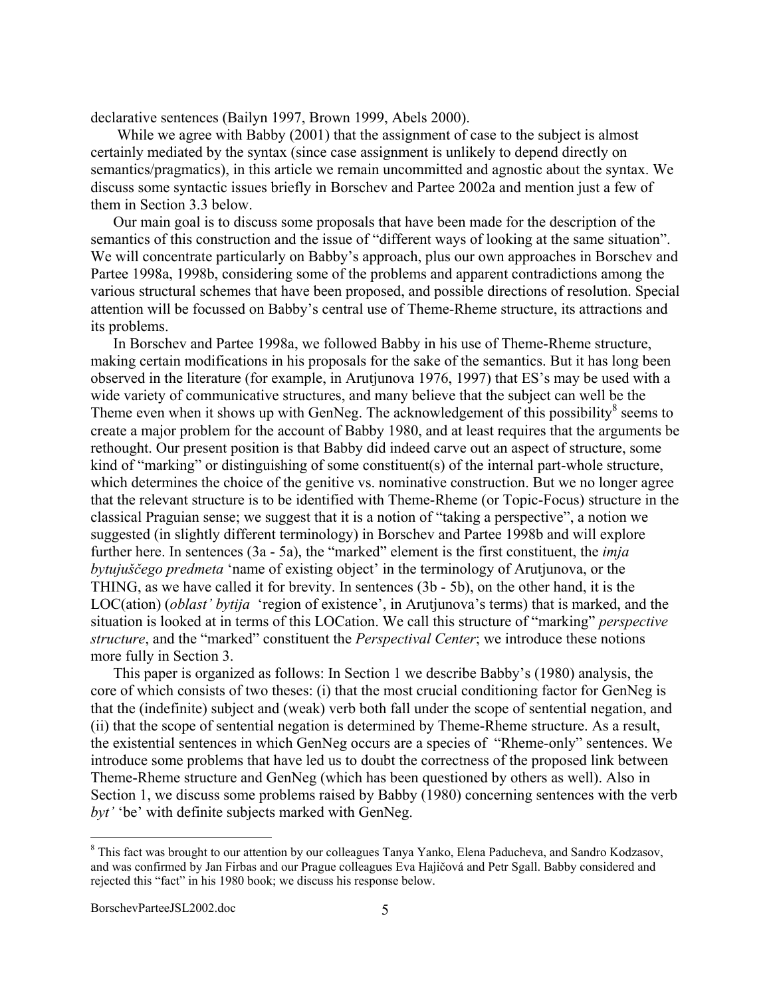declarative sentences (Bailyn 1997, Brown 1999, Abels 2000).

While we agree with Babby (2001) that the assignment of case to the subject is almost certainly mediated by the syntax (since case assignment is unlikely to depend directly on semantics/pragmatics), in this article we remain uncommitted and agnostic about the syntax. We discuss some syntactic issues briefly in Borschev and Partee 2002a and mention just a few of them in Section 3.3 below.

 Our main goal is to discuss some proposals that have been made for the description of the semantics of this construction and the issue of "different ways of looking at the same situation". We will concentrate particularly on Babby's approach, plus our own approaches in Borschev and Partee 1998a, 1998b, considering some of the problems and apparent contradictions among the various structural schemes that have been proposed, and possible directions of resolution. Special attention will be focussed on Babby's central use of Theme-Rheme structure, its attractions and its problems.

 In Borschev and Partee 1998a, we followed Babby in his use of Theme-Rheme structure, making certain modifications in his proposals for the sake of the semantics. But it has long been observed in the literature (for example, in Arutjunova 1976, 1997) that ES's may be used with a wide variety of communicative structures, and many believe that the subject can well be the Theme even when it shows up with GenNeg. The acknowledgement of this possibility $\delta$  seems to create a major problem for the account of Babby 1980, and at least requires that the arguments be rethought. Our present position is that Babby did indeed carve out an aspect of structure, some kind of "marking" or distinguishing of some constituent(s) of the internal part-whole structure, which determines the choice of the genitive vs. nominative construction. But we no longer agree that the relevant structure is to be identified with Theme-Rheme (or Topic-Focus) structure in the classical Praguian sense; we suggest that it is a notion of "taking a perspective", a notion we suggested (in slightly different terminology) in Borschev and Partee 1998b and will explore further here. In sentences (3a - 5a), the "marked" element is the first constituent, the *imja bytujuščego predmeta* 'name of existing object' in the terminology of Arutjunova, or the THING, as we have called it for brevity. In sentences (3b - 5b), on the other hand, it is the LOC(ation) (*oblast' bytija* 'region of existence', in Arutjunova's terms) that is marked, and the situation is looked at in terms of this LOCation. We call this structure of "marking" *perspective structure*, and the "marked" constituent the *Perspectival Center*; we introduce these notions more fully in Section 3.

 This paper is organized as follows: In Section 1 we describe Babby's (1980) analysis, the core of which consists of two theses: (i) that the most crucial conditioning factor for GenNeg is that the (indefinite) subject and (weak) verb both fall under the scope of sentential negation, and (ii) that the scope of sentential negation is determined by Theme-Rheme structure. As a result, the existential sentences in which GenNeg occurs are a species of "Rheme-only" sentences. We introduce some problems that have led us to doubt the correctness of the proposed link between Theme-Rheme structure and GenNeg (which has been questioned by others as well). Also in Section 1, we discuss some problems raised by Babby (1980) concerning sentences with the verb *byt'* 'be' with definite subjects marked with GenNeg.

1

<sup>&</sup>lt;sup>8</sup> This fact was brought to our attention by our colleagues Tanya Yanko, Elena Paducheva, and Sandro Kodzasov, and was confirmed by Jan Firbas and our Prague colleagues Eva Hajičová and Petr Sgall. Babby considered and rejected this "fact" in his 1980 book; we discuss his response below.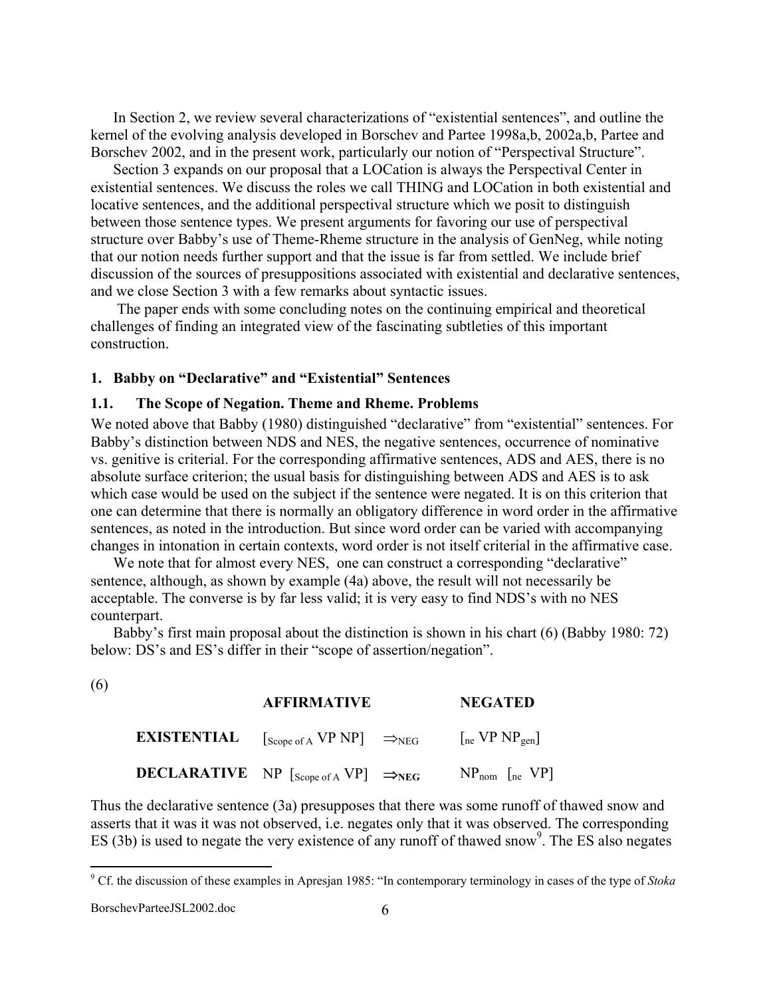In Section 2, we review several characterizations of "existential sentences", and outline the kernel of the evolving analysis developed in Borschev and Partee 1998a,b, 2002a,b, Partee and Borschev 2002, and in the present work, particularly our notion of "Perspectival Structure".

 Section 3 expands on our proposal that a LOCation is always the Perspectival Center in existential sentences. We discuss the roles we call THING and LOCation in both existential and locative sentences, and the additional perspectival structure which we posit to distinguish between those sentence types. We present arguments for favoring our use of perspectival structure over Babby's use of Theme-Rheme structure in the analysis of GenNeg, while noting that our notion needs further support and that the issue is far from settled. We include brief discussion of the sources of presuppositions associated with existential and declarative sentences, and we close Section 3 with a few remarks about syntactic issues.

 The paper ends with some concluding notes on the continuing empirical and theoretical challenges of finding an integrated view of the fascinating subtleties of this important construction.

#### **1. Babby on "Declarative" and "Existential" Sentences**

#### **1.1. The Scope of Negation. Theme and Rheme. Problems**

We noted above that Babby (1980) distinguished "declarative" from "existential" sentences. For Babby's distinction between NDS and NES, the negative sentences, occurrence of nominative vs. genitive is criterial. For the corresponding affirmative sentences, ADS and AES, there is no absolute surface criterion; the usual basis for distinguishing between ADS and AES is to ask which case would be used on the subject if the sentence were negated. It is on this criterion that one can determine that there is normally an obligatory difference in word order in the affirmative sentences, as noted in the introduction. But since word order can be varied with accompanying changes in intonation in certain contexts, word order is not itself criterial in the affirmative case.

We note that for almost every NES, one can construct a corresponding "declarative" sentence, although, as shown by example (4a) above, the result will not necessarily be acceptable. The converse is by far less valid; it is very easy to find NDS's with no NES counterpart.

 Babby's first main proposal about the distinction is shown in his chart (6) (Babby 1980: 72) below: DS's and ES's differ in their "scope of assertion/negation".

(6)

 $\overline{a}$ 

| <b>AFFIRMATIVE</b>                                                 | <b>NEGATED</b> |                                              |  |
|--------------------------------------------------------------------|----------------|----------------------------------------------|--|
| <b>EXISTENTIAL</b> $[\text{scope of A VP NP}] \Rightarrow_{NEG}$   |                | $\lfloor_{\text{ne}}$ VP NP <sub>gen</sub> ] |  |
| <b>DECLARATIVE</b> NP $[\text{Scope of A VP}]$ $\Rightarrow_{NEG}$ |                | $NP_{nom}$ [ne $VP$ ]                        |  |

Thus the declarative sentence (3a) presupposes that there was some runoff of thawed snow and asserts that it was it was not observed, i.e. negates only that it was observed. The corresponding ES (3b) is used to negate the very existence of any runoff of thawed snow<sup>9</sup>. The ES also negates

<sup>9</sup> Cf. the discussion of these examples in Apresjan 1985: "In contemporary terminology in cases of the type of *Stoka*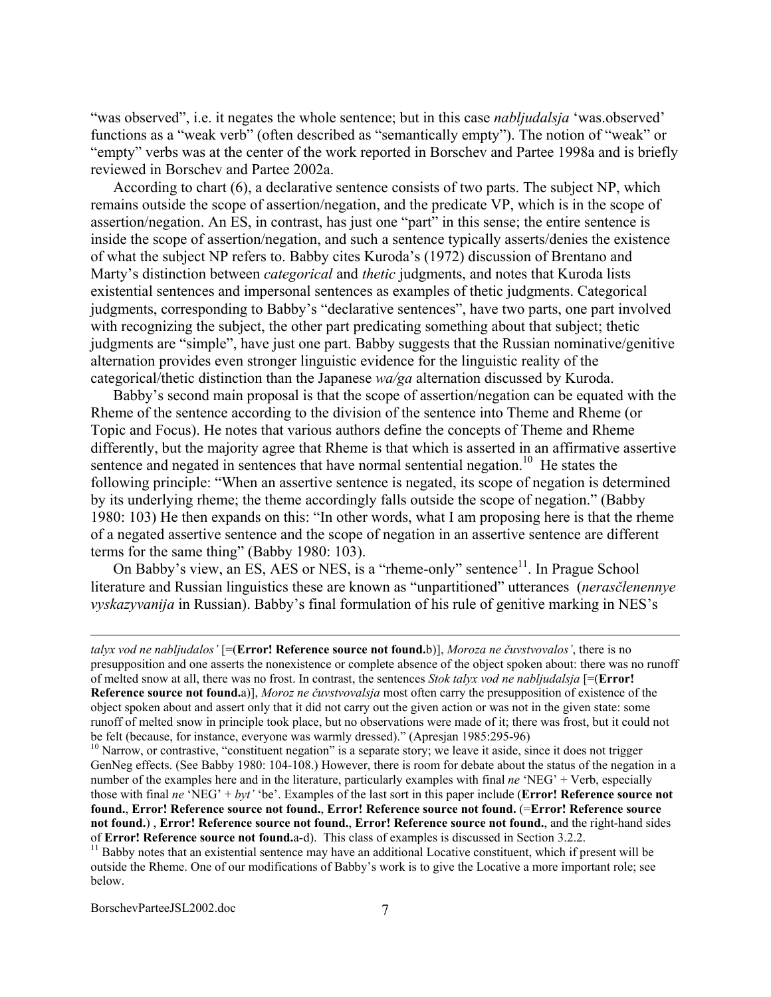"was observed", i.e. it negates the whole sentence; but in this case *nabljudalsja* 'was.observed' functions as a "weak verb" (often described as "semantically empty"). The notion of "weak" or "empty" verbs was at the center of the work reported in Borschev and Partee 1998a and is briefly reviewed in Borschev and Partee 2002a.

 According to chart (6), a declarative sentence consists of two parts. The subject NP, which remains outside the scope of assertion/negation, and the predicate VP, which is in the scope of assertion/negation. An ES, in contrast, has just one "part" in this sense; the entire sentence is inside the scope of assertion/negation, and such a sentence typically asserts/denies the existence of what the subject NP refers to. Babby cites Kuroda's (1972) discussion of Brentano and Marty's distinction between *categorical* and *thetic* judgments, and notes that Kuroda lists existential sentences and impersonal sentences as examples of thetic judgments. Categorical judgments, corresponding to Babby's "declarative sentences", have two parts, one part involved with recognizing the subject, the other part predicating something about that subject; thetic judgments are "simple", have just one part. Babby suggests that the Russian nominative/genitive alternation provides even stronger linguistic evidence for the linguistic reality of the categorical/thetic distinction than the Japanese *wa/ga* alternation discussed by Kuroda.

 Babby's second main proposal is that the scope of assertion/negation can be equated with the Rheme of the sentence according to the division of the sentence into Theme and Rheme (or Topic and Focus). He notes that various authors define the concepts of Theme and Rheme differently, but the majority agree that Rheme is that which is asserted in an affirmative assertive sentence and negated in sentences that have normal sentential negation.<sup>10</sup> He states the following principle: "When an assertive sentence is negated, its scope of negation is determined by its underlying rheme; the theme accordingly falls outside the scope of negation." (Babby 1980: 103) He then expands on this: "In other words, what I am proposing here is that the rheme of a negated assertive sentence and the scope of negation in an assertive sentence are different terms for the same thing" (Babby 1980: 103).

On Babby's view, an ES, AES or NES, is a "rheme-only" sentence<sup>11</sup>. In Prague School literature and Russian linguistics these are known as "unpartitioned" utterances (*nerasčlenennye vyskazyvanija* in Russian). Babby's final formulation of his rule of genitive marking in NES's

*talyx vod ne nabljudalos'* [=(**Error! Reference source not found.**b)], *Moroza ne čuvstvovalos'*, there is no presupposition and one asserts the nonexistence or complete absence of the object spoken about: there was no runoff of melted snow at all, there was no frost. In contrast, the sentences *Stok talyx vod ne nabljudalsja* [=(**Error! Reference source not found.**a)], *Moroz ne čuvstvovalsja* most often carry the presupposition of existence of the object spoken about and assert only that it did not carry out the given action or was not in the given state: some runoff of melted snow in principle took place, but no observations were made of it; there was frost, but it could not be felt (because, for instance, everyone was warmly dressed)." (Apresjan 1985:295-96)

 $10$  Narrow, or contrastive, "constituent negation" is a separate story; we leave it aside, since it does not trigger GenNeg effects. (See Babby 1980: 104-108.) However, there is room for debate about the status of the negation in a number of the examples here and in the literature, particularly examples with final *ne* 'NEG' + Verb, especially those with final *ne* 'NEG' + *byt'* 'be'. Examples of the last sort in this paper include (**Error! Reference source not found.**, **Error! Reference source not found.**, **Error! Reference source not found.** (=**Error! Reference source not found.**) , **Error! Reference source not found.**, **Error! Reference source not found.**, and the right-hand sides

<sup>&</sup>lt;sup>11</sup> Babby notes that an existential sentence may have an additional Locative constituent, which if present will be outside the Rheme. One of our modifications of Babby's work is to give the Locative a more important role; see below.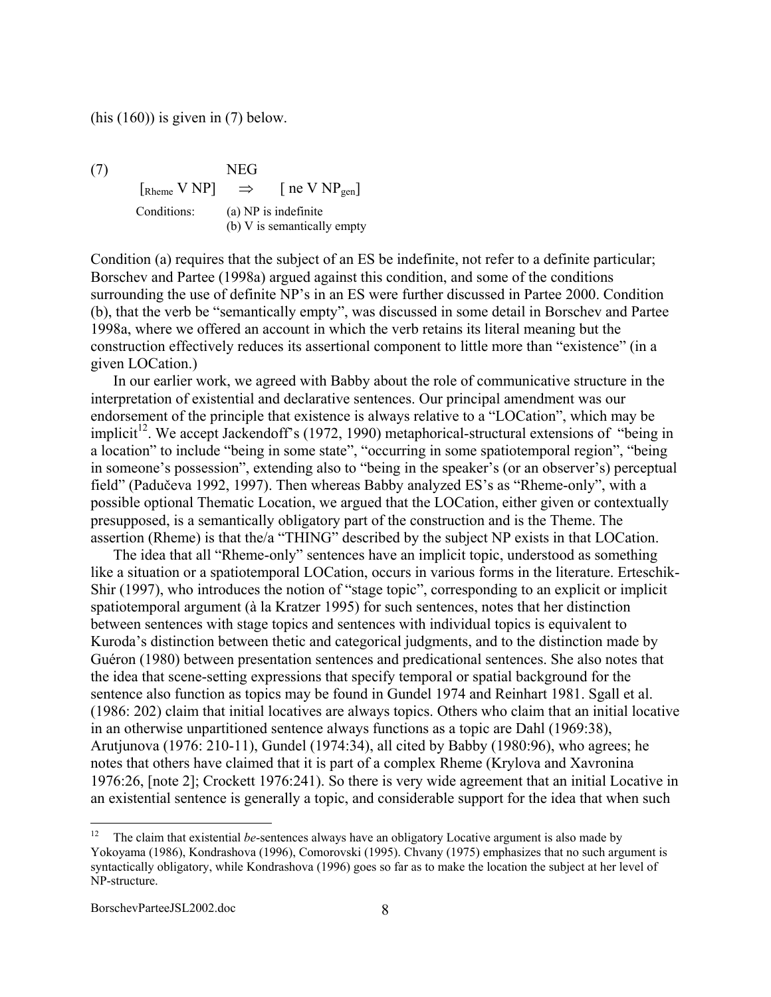(his  $(160)$ ) is given in  $(7)$  below.

(7) NEG  $[\text{Rheme V NP}] \Rightarrow [\text{ne V NP}_{\text{gen}}]$  Conditions: (a) NP is indefinite (b) V is semantically empty

Condition (a) requires that the subject of an ES be indefinite, not refer to a definite particular; Borschev and Partee (1998a) argued against this condition, and some of the conditions surrounding the use of definite NP's in an ES were further discussed in Partee 2000. Condition (b), that the verb be "semantically empty", was discussed in some detail in Borschev and Partee 1998a, where we offered an account in which the verb retains its literal meaning but the construction effectively reduces its assertional component to little more than "existence" (in a given LOCation.)

 In our earlier work, we agreed with Babby about the role of communicative structure in the interpretation of existential and declarative sentences. Our principal amendment was our endorsement of the principle that existence is always relative to a "LOCation", which may be implicit<sup>12</sup>. We accept Jackendoff's (1972, 1990) metaphorical-structural extensions of "being in a location" to include "being in some state", "occurring in some spatiotemporal region", "being in someone's possession", extending also to "being in the speaker's (or an observer's) perceptual field" (Padučeva 1992, 1997). Then whereas Babby analyzed ES's as "Rheme-only", with a possible optional Thematic Location, we argued that the LOCation, either given or contextually presupposed, is a semantically obligatory part of the construction and is the Theme. The assertion (Rheme) is that the/a "THING" described by the subject NP exists in that LOCation.

 The idea that all "Rheme-only" sentences have an implicit topic, understood as something like a situation or a spatiotemporal LOCation, occurs in various forms in the literature. Erteschik-Shir (1997), who introduces the notion of "stage topic", corresponding to an explicit or implicit spatiotemporal argument (à la Kratzer 1995) for such sentences, notes that her distinction between sentences with stage topics and sentences with individual topics is equivalent to Kuroda's distinction between thetic and categorical judgments, and to the distinction made by Guéron (1980) between presentation sentences and predicational sentences. She also notes that the idea that scene-setting expressions that specify temporal or spatial background for the sentence also function as topics may be found in Gundel 1974 and Reinhart 1981. Sgall et al. (1986: 202) claim that initial locatives are always topics. Others who claim that an initial locative in an otherwise unpartitioned sentence always functions as a topic are Dahl (1969:38), Arutjunova (1976: 210-11), Gundel (1974:34), all cited by Babby (1980:96), who agrees; he notes that others have claimed that it is part of a complex Rheme (Krylova and Xavronina 1976:26, [note 2]; Crockett 1976:241). So there is very wide agreement that an initial Locative in an existential sentence is generally a topic, and considerable support for the idea that when such

<sup>&</sup>lt;sup>12</sup> The claim that existential *be*-sentences always have an obligatory Locative argument is also made by Yokoyama (1986), Kondrashova (1996), Comorovski (1995). Chvany (1975) emphasizes that no such argument is syntactically obligatory, while Kondrashova (1996) goes so far as to make the location the subject at her level of NP-structure.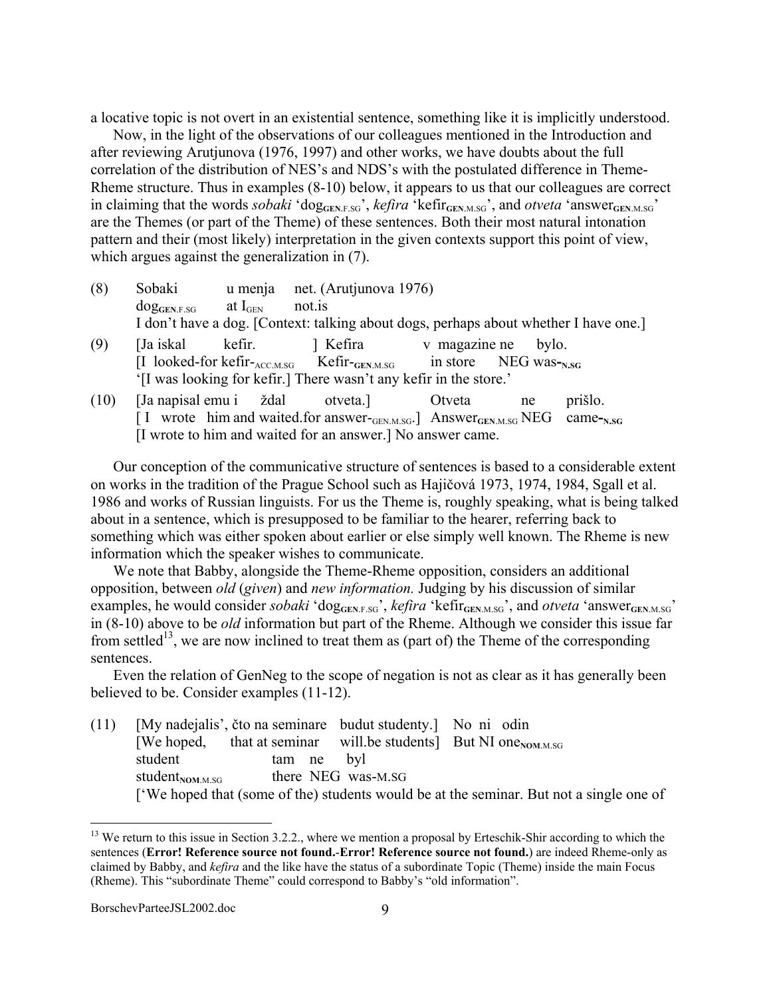a locative topic is not overt in an existential sentence, something like it is implicitly understood.

 Now, in the light of the observations of our colleagues mentioned in the Introduction and after reviewing Arutjunova (1976, 1997) and other works, we have doubts about the full correlation of the distribution of NES's and NDS's with the postulated difference in Theme-Rheme structure. Thus in examples (8-10) below, it appears to us that our colleagues are correct in claiming that the words *sobaki* 'dog<sub>GEN.F.SG</sub>', *kefira* 'kefir<sub>GEN.M.SG</sub>', and *otveta* 'answer<sub>GEN.M.SG</sub>' are the Themes (or part of the Theme) of these sentences. Both their most natural intonation pattern and their (most likely) interpretation in the given contexts support this point of view, which argues against the generalization in (7).

| (8)  | Sobaki                  |                     | u menja net. (Arutjunova 1976)                                                                        |        |       |         |
|------|-------------------------|---------------------|-------------------------------------------------------------------------------------------------------|--------|-------|---------|
|      | $\log_{\rm GEN.F.SG}$   | at $I_{\text{GEN}}$ | not.is                                                                                                |        |       |         |
|      |                         |                     | I don't have a dog. [Context: talking about dogs, perhaps about whether I have one.]                  |        |       |         |
| (9)  | [Ja iskal kefir.        |                     | Refira v magazine ne                                                                                  |        | bylo. |         |
|      |                         |                     | [I looked-for kefir- $_{\text{ACC.MSG}}$ Kefir- $_{\text{GEN.MSG}}$ in store NEG was- $_{\text{NSG}}$ |        |       |         |
|      |                         |                     | '[I was looking for kefir.] There wasn't any kefir in the store.'                                     |        |       |         |
| (10) | [Ja napisal emu i ždal] |                     | otveta.]                                                                                              | Otveta | ne    | prišlo. |
|      |                         |                     | [I wrote him and waited for answer-GEN, M.SG.] Answer <sub>GEN, M.SG</sub> NEG came-N.SG              |        |       |         |
|      |                         |                     | [I wrote to him and waited for an answer.] No answer came.                                            |        |       |         |

 Our conception of the communicative structure of sentences is based to a considerable extent on works in the tradition of the Prague School such as Hajičová 1973, 1974, 1984, Sgall et al. 1986 and works of Russian linguists. For us the Theme is, roughly speaking, what is being talked about in a sentence, which is presupposed to be familiar to the hearer, referring back to something which was either spoken about earlier or else simply well known. The Rheme is new information which the speaker wishes to communicate.

 We note that Babby, alongside the Theme-Rheme opposition, considers an additional opposition, between *old* (*given*) and *new information.* Judging by his discussion of similar examples, he would consider *sobaki* 'dog<sub>GEN.F.SG</sub>', *kefira* 'kefir<sub>GEN.M.SG</sub>', and *otveta* 'answer<sub>GEN.M.SG</sub>' in (8-10) above to be *old* information but part of the Rheme. Although we consider this issue far from settled<sup>13</sup>, we are now inclined to treat them as (part of) the Theme of the corresponding sentences.

 Even the relation of GenNeg to the scope of negation is not as clear as it has generally been believed to be. Consider examples (11-12).

| (11) |                             |            | [My nadejalis', čto na seminare budut studenty.] No ni odin |                                                                                         |
|------|-----------------------------|------------|-------------------------------------------------------------|-----------------------------------------------------------------------------------------|
|      |                             |            |                                                             | [We hoped, that at seminar will be students] But NI one <sub>NOM,M.SG</sub>             |
|      | student                     | tam ne byl |                                                             |                                                                                         |
|      | student <sub>nom.m.sg</sub> |            | there NEG was-M.SG                                          |                                                                                         |
|      |                             |            |                                                             | ['We hoped that (some of the) students would be at the seminar. But not a single one of |

 $13$  We return to this issue in Section 3.2.2., where we mention a proposal by Erteschik-Shir according to which the sentences (**Error! Reference source not found.**-**Error! Reference source not found.**) are indeed Rheme-only as claimed by Babby, and *kefira* and the like have the status of a subordinate Topic (Theme) inside the main Focus (Rheme). This "subordinate Theme" could correspond to Babby's "old information".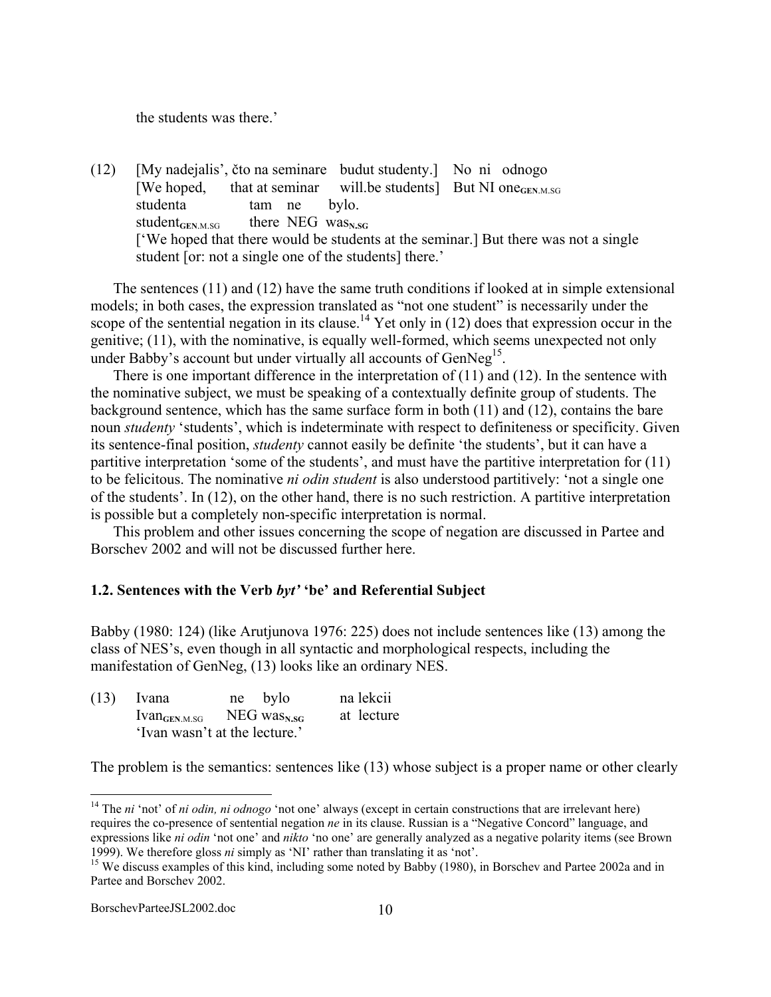the students was there.'

(12) [My nadejalis', čto na seminare budut studenty.] No ni odnogo [We hoped, that at seminar will.be students] But NI one<sub>GENM.SG</sub> studenta tam ne bylo. student<sub>GEN.M.SG</sub> there NEG was<sub>N.SG</sub> ['We hoped that there would be students at the seminar.] But there was not a single student [or: not a single one of the students] there.'

 The sentences (11) and (12) have the same truth conditions if looked at in simple extensional models; in both cases, the expression translated as "not one student" is necessarily under the scope of the sentential negation in its clause.<sup>14</sup> Yet only in (12) does that expression occur in the genitive; (11), with the nominative, is equally well-formed, which seems unexpected not only under Babby's account but under virtually all accounts of  $GenNeg<sup>15</sup>$ .

 There is one important difference in the interpretation of (11) and (12). In the sentence with the nominative subject, we must be speaking of a contextually definite group of students. The background sentence, which has the same surface form in both (11) and (12), contains the bare noun *studenty* 'students', which is indeterminate with respect to definiteness or specificity. Given its sentence-final position, *studenty* cannot easily be definite 'the students', but it can have a partitive interpretation 'some of the students', and must have the partitive interpretation for (11) to be felicitous. The nominative *ni odin student* is also understood partitively: 'not a single one of the students'. In (12), on the other hand, there is no such restriction. A partitive interpretation is possible but a completely non-specific interpretation is normal.

 This problem and other issues concerning the scope of negation are discussed in Partee and Borschev 2002 and will not be discussed further here.

# **1.2. Sentences with the Verb** *byt'* **'be' and Referential Subject**

Babby (1980: 124) (like Arutjunova 1976: 225) does not include sentences like (13) among the class of NES's, even though in all syntactic and morphological respects, including the manifestation of GenNeg, (13) looks like an ordinary NES.

| $(13)$ Ivana | ne bylo                                   | na lekcii  |
|--------------|-------------------------------------------|------------|
|              | $Ivan_{GEN.M.SG}$ NEG was <sub>n.sG</sub> | at lecture |
|              | 'Ivan wasn't at the lecture.'             |            |

The problem is the semantics: sentences like (13) whose subject is a proper name or other clearly

<sup>&</sup>lt;sup>14</sup> The *ni* 'not' of *ni odin, ni odnogo* 'not one' always (except in certain constructions that are irrelevant here) requires the co-presence of sentential negation *ne* in its clause. Russian is a "Negative Concord" language, and expressions like *ni odin* 'not one' and *nikto* 'no one' are generally analyzed as a negative polarity items (see Brown 1999). We therefore gloss *ni* simply as 'NI' rather than translating it as 'not'.

<sup>&</sup>lt;sup>15</sup> We discuss examples of this kind, including some noted by Babby (1980), in Borschev and Partee 2002a and in Partee and Borschev 2002.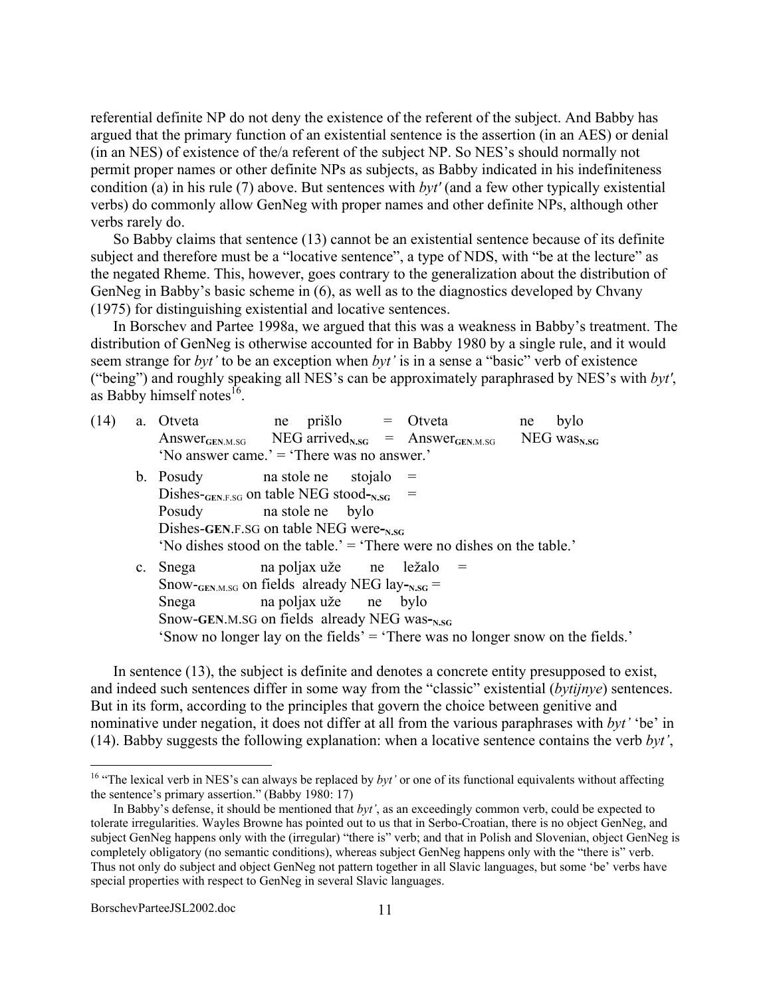referential definite NP do not deny the existence of the referent of the subject. And Babby has argued that the primary function of an existential sentence is the assertion (in an AES) or denial (in an NES) of existence of the/a referent of the subject NP. So NES's should normally not permit proper names or other definite NPs as subjects, as Babby indicated in his indefiniteness condition (a) in his rule (7) above. But sentences with *byt'* (and a few other typically existential verbs) do commonly allow GenNeg with proper names and other definite NPs, although other verbs rarely do.

 So Babby claims that sentence (13) cannot be an existential sentence because of its definite subject and therefore must be a "locative sentence", a type of NDS, with "be at the lecture" as the negated Rheme. This, however, goes contrary to the generalization about the distribution of GenNeg in Babby's basic scheme in (6), as well as to the diagnostics developed by Chvany (1975) for distinguishing existential and locative sentences.

 In Borschev and Partee 1998a, we argued that this was a weakness in Babby's treatment. The distribution of GenNeg is otherwise accounted for in Babby 1980 by a single rule, and it would seem strange for *byt'* to be an exception when *byt'* is in a sense a "basic" verb of existence ("being") and roughly speaking all NES's can be approximately paraphrased by NES's with *byt'*, as Babby himself notes $^{16}$ .

| (14) | a. Otveta ne prišlo = Otveta                                                        |  |  | ne | bylo                    |  |
|------|-------------------------------------------------------------------------------------|--|--|----|-------------------------|--|
|      | Answer <sub>GEN.M.SG</sub> NEG arrived <sub>N.SG</sub> = Answer <sub>GEN.M.SG</sub> |  |  |    | NEG was $_{\text{NSG}}$ |  |
|      | 'No answer came.' $=$ 'There was no answer.'                                        |  |  |    |                         |  |
|      | b. Posudy na stole ne stojalo =                                                     |  |  |    |                         |  |
|      | Dishes- $_{\text{GENF.SG}}$ on table NEG stood- $_{\text{N.SG}}$ =                  |  |  |    |                         |  |
|      | Posudy na stole ne bylo                                                             |  |  |    |                         |  |
|      | Dishes-GEN.F.SG on table NEG were- $_{NSG}$                                         |  |  |    |                         |  |
|      | 'No dishes stood on the table.' = 'There were no dishes on the table.'              |  |  |    |                         |  |
|      | c. Snega na poljax uže ne ležalo =                                                  |  |  |    |                         |  |
|      | Snow- $_{\text{GEN.M.SG}}$ on fields already NEG lay- $_{\text{N.SG}}$ =            |  |  |    |                         |  |
|      | Snega na poljax uže ne bylo                                                         |  |  |    |                         |  |
|      | Snow-GEN.M.SG on fields already NEG was- $_{N,SG}$                                  |  |  |    |                         |  |
|      | 'Snow no longer lay on the fields' = 'There was no longer snow on the fields.'      |  |  |    |                         |  |

 In sentence (13), the subject is definite and denotes a concrete entity presupposed to exist, and indeed such sentences differ in some way from the "classic" existential (*bytijnye*) sentences. But in its form, according to the principles that govern the choice between genitive and nominative under negation, it does not differ at all from the various paraphrases with *byt'* 'be' in (14). Babby suggests the following explanation: when a locative sentence contains the verb *byt'*,

<u>.</u>

<sup>&</sup>lt;sup>16</sup> "The lexical verb in NES's can always be replaced by *byt'* or one of its functional equivalents without affecting the sentence's primary assertion." (Babby 1980: 17)

In Babby's defense, it should be mentioned that *byt'*, as an exceedingly common verb, could be expected to tolerate irregularities. Wayles Browne has pointed out to us that in Serbo-Croatian, there is no object GenNeg, and subject GenNeg happens only with the (irregular) "there is" verb; and that in Polish and Slovenian, object GenNeg is completely obligatory (no semantic conditions), whereas subject GenNeg happens only with the "there is" verb. Thus not only do subject and object GenNeg not pattern together in all Slavic languages, but some 'be' verbs have special properties with respect to GenNeg in several Slavic languages.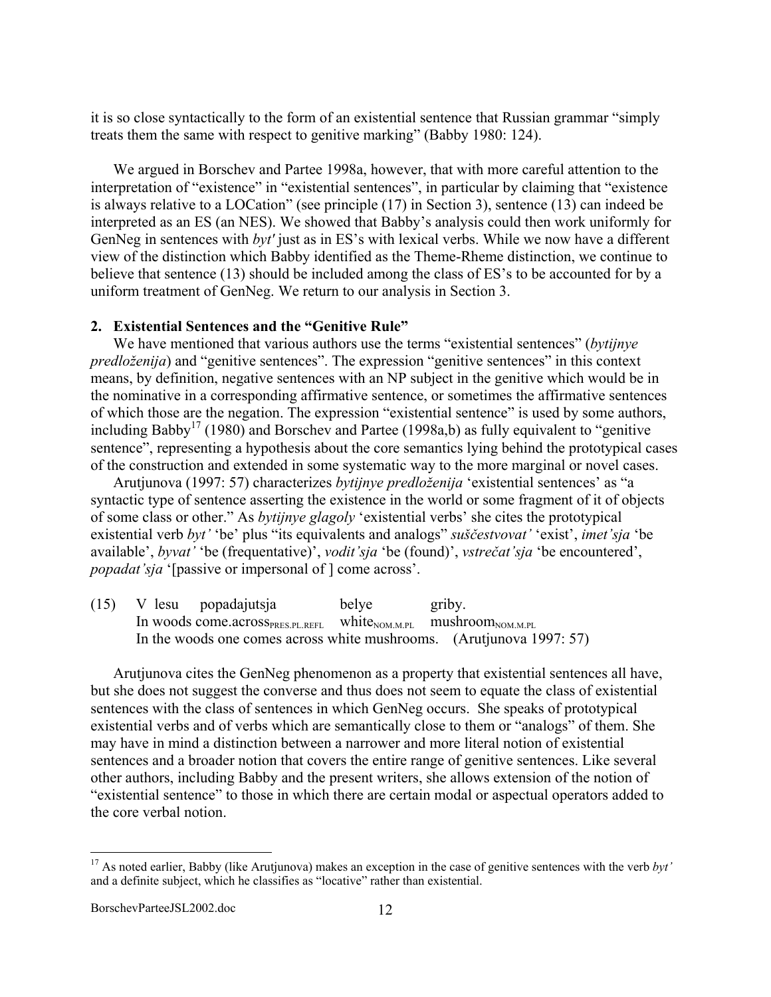it is so close syntactically to the form of an existential sentence that Russian grammar "simply treats them the same with respect to genitive marking" (Babby 1980: 124).

 We argued in Borschev and Partee 1998a, however, that with more careful attention to the interpretation of "existence" in "existential sentences", in particular by claiming that "existence is always relative to a LOCation" (see principle (17) in Section 3), sentence (13) can indeed be interpreted as an ES (an NES). We showed that Babby's analysis could then work uniformly for GenNeg in sentences with *byt'* just as in ES's with lexical verbs. While we now have a different view of the distinction which Babby identified as the Theme-Rheme distinction, we continue to believe that sentence (13) should be included among the class of ES's to be accounted for by a uniform treatment of GenNeg. We return to our analysis in Section 3.

### **2. Existential Sentences and the "Genitive Rule"**

 We have mentioned that various authors use the terms "existential sentences" (*bytijnye predloženija*) and "genitive sentences". The expression "genitive sentences" in this context means, by definition, negative sentences with an NP subject in the genitive which would be in the nominative in a corresponding affirmative sentence, or sometimes the affirmative sentences of which those are the negation. The expression "existential sentence" is used by some authors, including Babby<sup>17</sup> (1980) and Borschev and Partee (1998a,b) as fully equivalent to "genitive sentence", representing a hypothesis about the core semantics lying behind the prototypical cases of the construction and extended in some systematic way to the more marginal or novel cases.

 Arutjunova (1997: 57) characterizes *bytijnye predloženija* 'existential sentences' as "a syntactic type of sentence asserting the existence in the world or some fragment of it of objects of some class or other." As *bytijnye glagoly* 'existential verbs' she cites the prototypical existential verb *byt'* 'be' plus "its equivalents and analogs" *suščestvovat'* 'exist', *imet'sja* 'be available', *byvat'* 'be (frequentative)', *vodit'sja* 'be (found)', *vstrečat'sja* 'be encountered', *popadat'sja* '[passive or impersonal of ] come across'.

(15) V lesu popadajutsja belye griby. In woods come.across $_{PRES.PL.REFL}$  white $_{NOM.M.PL}$  mushroom $_{NOM.M.PL}$ In the woods one comes across white mushrooms. (Arutjunova 1997: 57)

 Arutjunova cites the GenNeg phenomenon as a property that existential sentences all have, but she does not suggest the converse and thus does not seem to equate the class of existential sentences with the class of sentences in which GenNeg occurs. She speaks of prototypical existential verbs and of verbs which are semantically close to them or "analogs" of them. She may have in mind a distinction between a narrower and more literal notion of existential sentences and a broader notion that covers the entire range of genitive sentences. Like several other authors, including Babby and the present writers, she allows extension of the notion of "existential sentence" to those in which there are certain modal or aspectual operators added to the core verbal notion.

 $17$  As noted earlier, Babby (like Arutjunova) makes an exception in the case of genitive sentences with the verb *byt'* and a definite subject, which he classifies as "locative" rather than existential.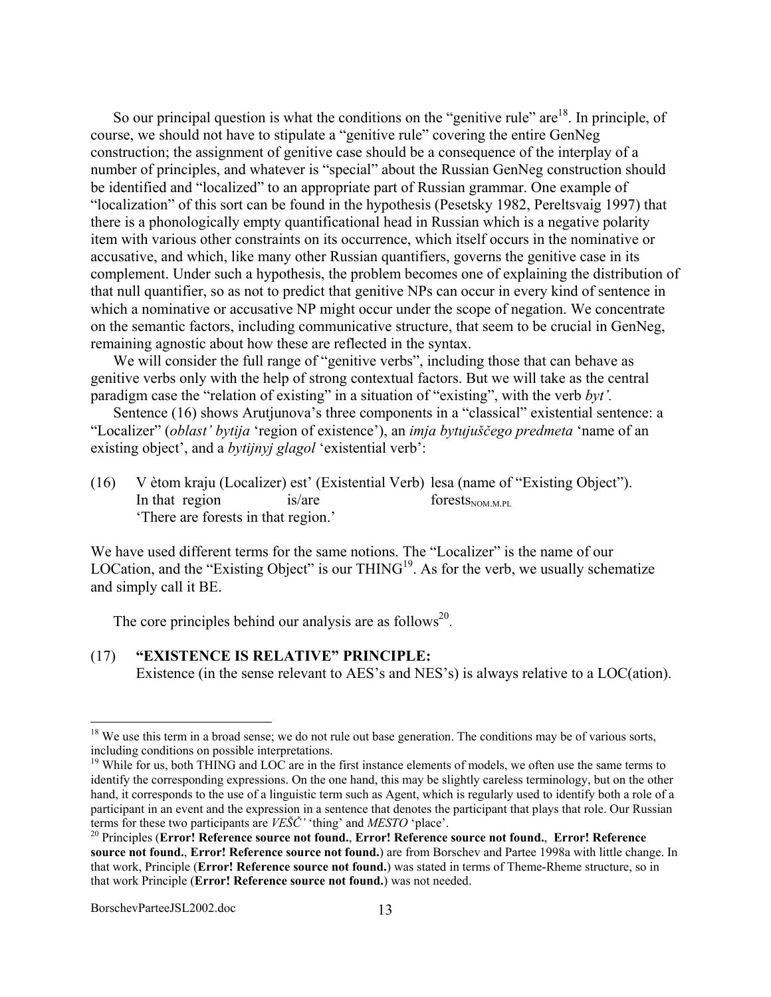So our principal question is what the conditions on the "genitive rule" are<sup>18</sup>. In principle, of course, we should not have to stipulate a "genitive rule" covering the entire GenNeg construction; the assignment of genitive case should be a consequence of the interplay of a number of principles, and whatever is "special" about the Russian GenNeg construction should be identified and "localized" to an appropriate part of Russian grammar. One example of "localization" of this sort can be found in the hypothesis (Pesetsky 1982, Pereltsvaig 1997) that there is a phonologically empty quantificational head in Russian which is a negative polarity item with various other constraints on its occurrence, which itself occurs in the nominative or accusative, and which, like many other Russian quantifiers, governs the genitive case in its complement. Under such a hypothesis, the problem becomes one of explaining the distribution of that null quantifier, so as not to predict that genitive NPs can occur in every kind of sentence in which a nominative or accusative NP might occur under the scope of negation. We concentrate on the semantic factors, including communicative structure, that seem to be crucial in GenNeg, remaining agnostic about how these are reflected in the syntax.

We will consider the full range of "genitive verbs", including those that can behave as genitive verbs only with the help of strong contextual factors. But we will take as the central paradigm case the "relation of existing" in a situation of "existing", with the verb *byt'.*

 Sentence (16) shows Arutjunova's three components in a "classical" existential sentence: a "Localizer" (*oblast' bytija* 'region of existence'), an *imja bytujuščego predmeta* 'name of an existing object', and a *bytijnyj glagol* 'existential verb':

(16) V ètom kraju (Localizer) est' (Existential Verb) lesa (name of "Existing Object"). In that region is/are forests $_{NOM.M.PL}$ 'There are forests in that region.'

We have used different terms for the same notions. The "Localizer" is the name of our LOCation, and the "Existing Object" is our  $THING<sup>19</sup>$ . As for the verb, we usually schematize and simply call it BE.

The core principles behind our analysis are as follows<sup>20</sup>.

(17) **"EXISTENCE IS RELATIVE" PRINCIPLE:** Existence (in the sense relevant to AES's and NES's) is always relative to a LOC(ation).

 $18$  We use this term in a broad sense; we do not rule out base generation. The conditions may be of various sorts, including conditions on possible interpretations.

 $19$  While for us, both THING and LOC are in the first instance elements of models, we often use the same terms to identify the corresponding expressions. On the one hand, this may be slightly careless terminology, but on the other hand, it corresponds to the use of a linguistic term such as Agent, which is regularly used to identify both a role of a participant in an event and the expression in a sentence that denotes the participant that plays that role. Our Russian terms for these two participants are  $VE\check{S}\check{C}$  'thing' and  $MESTO$  'place'.

<sup>&</sup>lt;sup>20</sup> Principles (Error! Reference source not found., Error! Reference source not found., Error! Reference **source not found.**, **Error! Reference source not found.**) are from Borschev and Partee 1998a with little change. In that work, Principle (**Error! Reference source not found.**) was stated in terms of Theme-Rheme structure, so in that work Principle (**Error! Reference source not found.**) was not needed.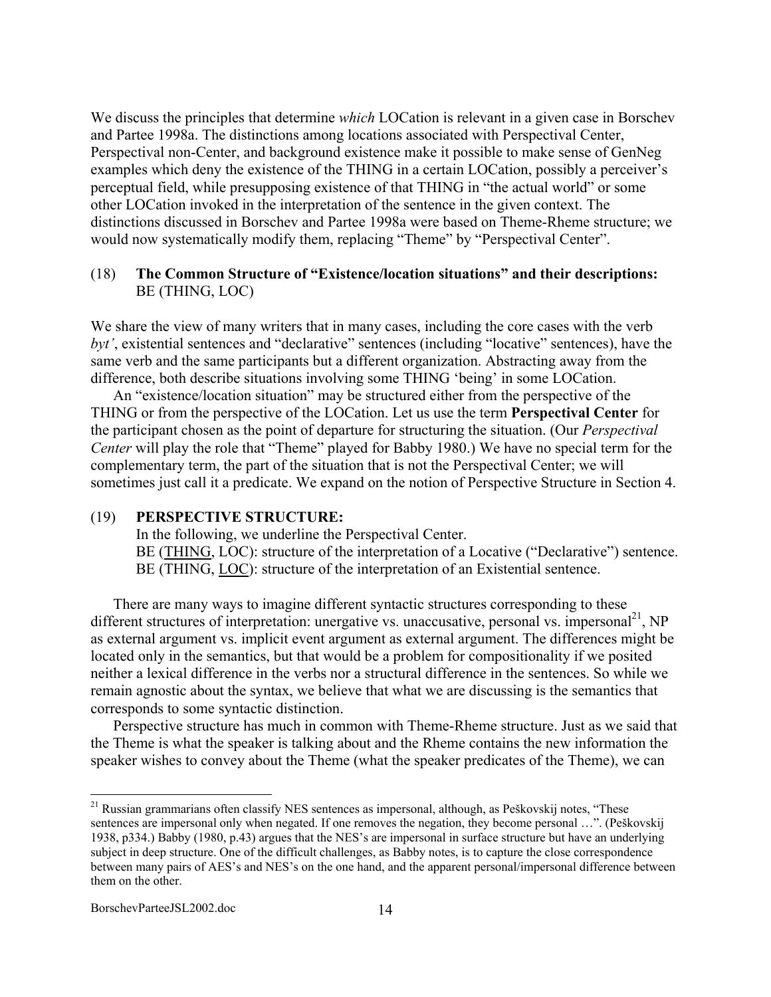We discuss the principles that determine *which* LOCation is relevant in a given case in Borschev and Partee 1998a. The distinctions among locations associated with Perspectival Center, Perspectival non-Center, and background existence make it possible to make sense of GenNeg examples which deny the existence of the THING in a certain LOCation, possibly a perceiver's perceptual field, while presupposing existence of that THING in "the actual world" or some other LOCation invoked in the interpretation of the sentence in the given context. The distinctions discussed in Borschev and Partee 1998a were based on Theme-Rheme structure; we would now systematically modify them, replacing "Theme" by "Perspectival Center".

### (18) **The Common Structure of "Existence/location situations" and their descriptions:** BE (THING, LOC)

We share the view of many writers that in many cases, including the core cases with the verb *byt'*, existential sentences and "declarative" sentences (including "locative" sentences), have the same verb and the same participants but a different organization. Abstracting away from the difference, both describe situations involving some THING 'being' in some LOCation.

An "existence/location situation" may be structured either from the perspective of the THING or from the perspective of the LOCation. Let us use the term **Perspectival Center** for the participant chosen as the point of departure for structuring the situation. (Our *Perspectival Center* will play the role that "Theme" played for Babby 1980.) We have no special term for the complementary term, the part of the situation that is not the Perspectival Center; we will sometimes just call it a predicate. We expand on the notion of Perspective Structure in Section 4.

#### (19) **PERSPECTIVE STRUCTURE:**

 In the following, we underline the Perspectival Center. BE (THING, LOC): structure of the interpretation of a Locative ("Declarative") sentence. BE (THING, LOC): structure of the interpretation of an Existential sentence.

 There are many ways to imagine different syntactic structures corresponding to these different structures of interpretation: unergative vs. unaccusative, personal vs. impersonal<sup>21</sup>, NP as external argument vs. implicit event argument as external argument. The differences might be located only in the semantics, but that would be a problem for compositionality if we posited neither a lexical difference in the verbs nor a structural difference in the sentences. So while we remain agnostic about the syntax, we believe that what we are discussing is the semantics that corresponds to some syntactic distinction.

 Perspective structure has much in common with Theme-Rheme structure. Just as we said that the Theme is what the speaker is talking about and the Rheme contains the new information the speaker wishes to convey about the Theme (what the speaker predicates of the Theme), we can

1

<sup>&</sup>lt;sup>21</sup> Russian grammarians often classify NES sentences as impersonal, although, as Peškovskij notes, "These sentences are impersonal only when negated. If one removes the negation, they become personal ...". (Peškovskij 1938, p334.) Babby (1980, p.43) argues that the NES's are impersonal in surface structure but have an underlying subject in deep structure. One of the difficult challenges, as Babby notes, is to capture the close correspondence between many pairs of AES's and NES's on the one hand, and the apparent personal/impersonal difference between them on the other.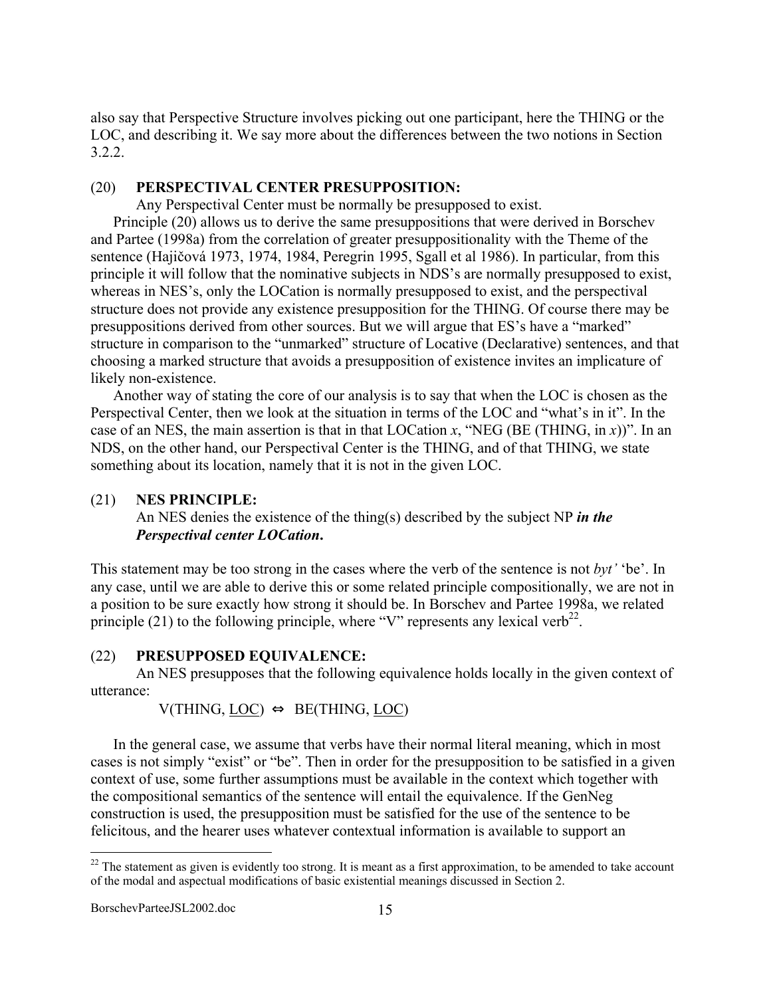also say that Perspective Structure involves picking out one participant, here the THING or the LOC, and describing it. We say more about the differences between the two notions in Section 3.2.2.

## (20) **PERSPECTIVAL CENTER PRESUPPOSITION:**

Any Perspectival Center must be normally be presupposed to exist.

 Principle (20) allows us to derive the same presuppositions that were derived in Borschev and Partee (1998a) from the correlation of greater presuppositionality with the Theme of the sentence (Hajičová 1973, 1974, 1984, Peregrin 1995, Sgall et al 1986). In particular, from this principle it will follow that the nominative subjects in NDS's are normally presupposed to exist, whereas in NES's, only the LOCation is normally presupposed to exist, and the perspectival structure does not provide any existence presupposition for the THING. Of course there may be presuppositions derived from other sources. But we will argue that ES's have a "marked" structure in comparison to the "unmarked" structure of Locative (Declarative) sentences, and that choosing a marked structure that avoids a presupposition of existence invites an implicature of likely non-existence.

 Another way of stating the core of our analysis is to say that when the LOC is chosen as the Perspectival Center, then we look at the situation in terms of the LOC and "what's in it". In the case of an NES, the main assertion is that in that LOCation  $x$ , "NEG (BE (THING, in  $x$ ))". In an NDS, on the other hand, our Perspectival Center is the THING, and of that THING, we state something about its location, namely that it is not in the given LOC.

#### (21) **NES PRINCIPLE:**

An NES denies the existence of the thing(s) described by the subject NP *in the Perspectival center LOCation***.** 

This statement may be too strong in the cases where the verb of the sentence is not *byt'* 'be'. In any case, until we are able to derive this or some related principle compositionally, we are not in a position to be sure exactly how strong it should be. In Borschev and Partee 1998a, we related principle (21) to the following principle, where "V" represents any lexical verb<sup>22</sup>.

#### (22) **PRESUPPOSED EQUIVALENCE:**

An NES presupposes that the following equivalence holds locally in the given context of utterance:

 $V(THING, \underline{LOC}) \Leftrightarrow BE(THING, \underline{LOC})$ 

 In the general case, we assume that verbs have their normal literal meaning, which in most cases is not simply "exist" or "be". Then in order for the presupposition to be satisfied in a given context of use, some further assumptions must be available in the context which together with the compositional semantics of the sentence will entail the equivalence. If the GenNeg construction is used, the presupposition must be satisfied for the use of the sentence to be felicitous, and the hearer uses whatever contextual information is available to support an

<u>.</u>

 $22$  The statement as given is evidently too strong. It is meant as a first approximation, to be amended to take account of the modal and aspectual modifications of basic existential meanings discussed in Section 2.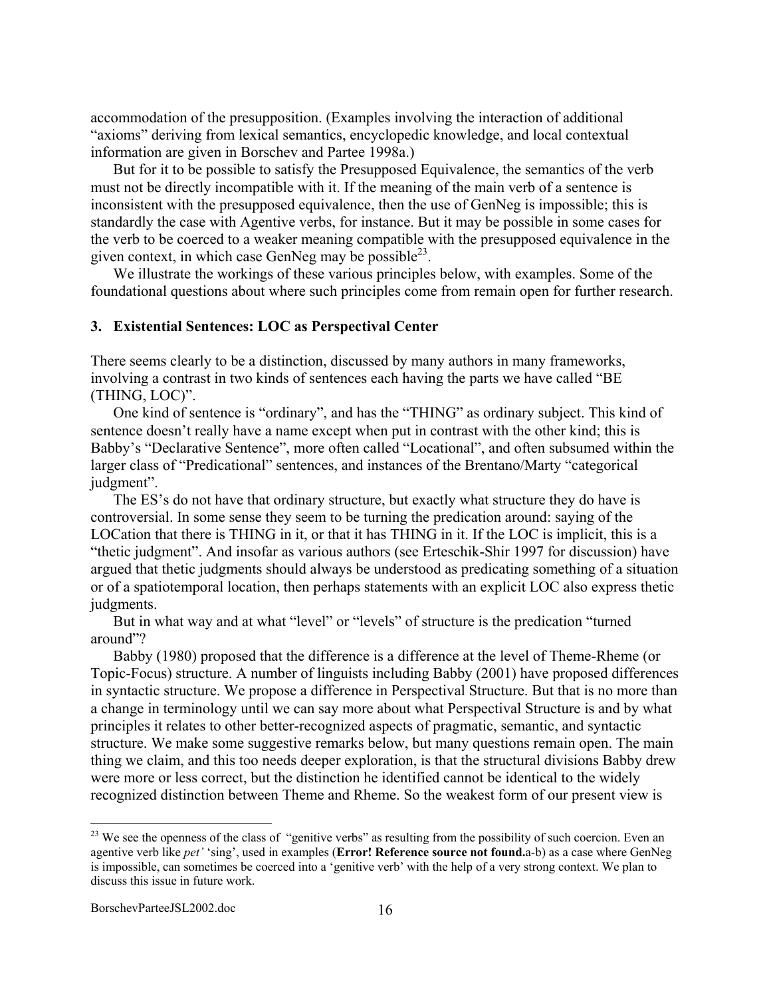accommodation of the presupposition. (Examples involving the interaction of additional "axioms" deriving from lexical semantics, encyclopedic knowledge, and local contextual information are given in Borschev and Partee 1998a.)

 But for it to be possible to satisfy the Presupposed Equivalence, the semantics of the verb must not be directly incompatible with it. If the meaning of the main verb of a sentence is inconsistent with the presupposed equivalence, then the use of GenNeg is impossible; this is standardly the case with Agentive verbs, for instance. But it may be possible in some cases for the verb to be coerced to a weaker meaning compatible with the presupposed equivalence in the given context, in which case GenNeg may be possible<sup>23</sup>.

 We illustrate the workings of these various principles below, with examples. Some of the foundational questions about where such principles come from remain open for further research.

#### **3. Existential Sentences: LOC as Perspectival Center**

There seems clearly to be a distinction, discussed by many authors in many frameworks, involving a contrast in two kinds of sentences each having the parts we have called "BE (THING, LOC)".

 One kind of sentence is "ordinary", and has the "THING" as ordinary subject. This kind of sentence doesn't really have a name except when put in contrast with the other kind; this is Babby's "Declarative Sentence", more often called "Locational", and often subsumed within the larger class of "Predicational" sentences, and instances of the Brentano/Marty "categorical judgment".

 The ES's do not have that ordinary structure, but exactly what structure they do have is controversial. In some sense they seem to be turning the predication around: saying of the LOCation that there is THING in it, or that it has THING in it. If the LOC is implicit, this is a "thetic judgment". And insofar as various authors (see Erteschik-Shir 1997 for discussion) have argued that thetic judgments should always be understood as predicating something of a situation or of a spatiotemporal location, then perhaps statements with an explicit LOC also express thetic judgments.

 But in what way and at what "level" or "levels" of structure is the predication "turned around"?

 Babby (1980) proposed that the difference is a difference at the level of Theme-Rheme (or Topic-Focus) structure. A number of linguists including Babby (2001) have proposed differences in syntactic structure. We propose a difference in Perspectival Structure. But that is no more than a change in terminology until we can say more about what Perspectival Structure is and by what principles it relates to other better-recognized aspects of pragmatic, semantic, and syntactic structure. We make some suggestive remarks below, but many questions remain open. The main thing we claim, and this too needs deeper exploration, is that the structural divisions Babby drew were more or less correct, but the distinction he identified cannot be identical to the widely recognized distinction between Theme and Rheme. So the weakest form of our present view is

 $2<sup>23</sup>$  We see the openness of the class of "genitive verbs" as resulting from the possibility of such coercion. Even an agentive verb like *pet'* 'sing', used in examples (**Error! Reference source not found.**a-b) as a case where GenNeg is impossible, can sometimes be coerced into a 'genitive verb' with the help of a very strong context. We plan to discuss this issue in future work.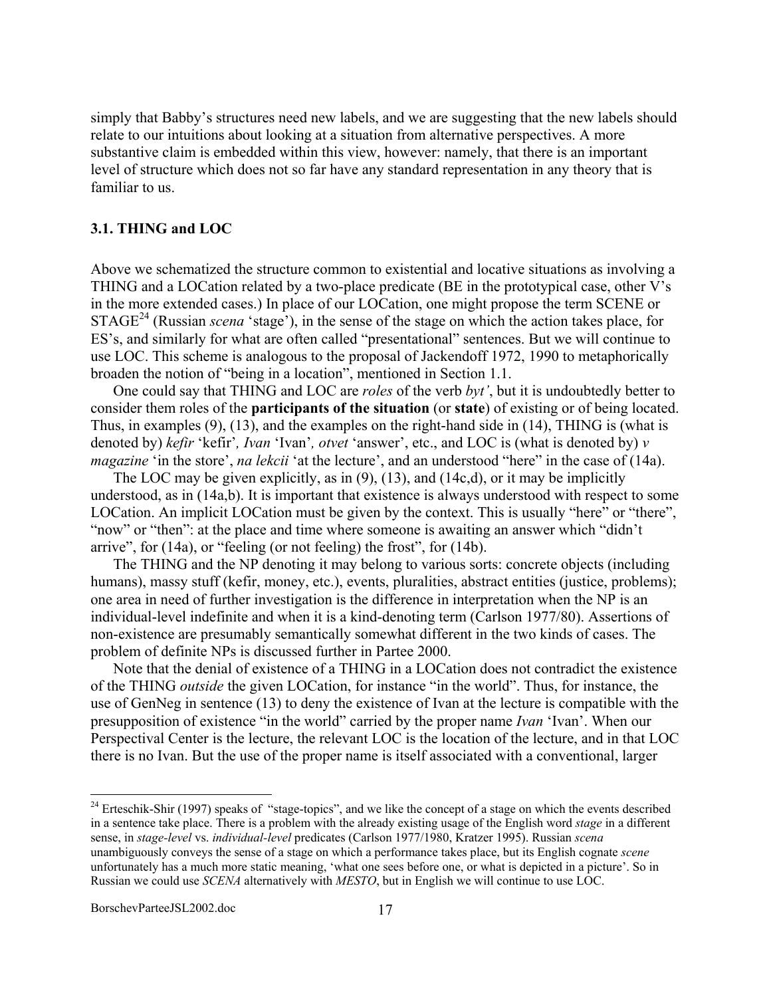simply that Babby's structures need new labels, and we are suggesting that the new labels should relate to our intuitions about looking at a situation from alternative perspectives. A more substantive claim is embedded within this view, however: namely, that there is an important level of structure which does not so far have any standard representation in any theory that is familiar to us.

# **3.1. THING and LOC**

Above we schematized the structure common to existential and locative situations as involving a THING and a LOCation related by a two-place predicate (BE in the prototypical case, other V's in the more extended cases.) In place of our LOCation, one might propose the term SCENE or STAGE24 (Russian *scena* 'stage'), in the sense of the stage on which the action takes place, for ES's, and similarly for what are often called "presentational" sentences. But we will continue to use LOC. This scheme is analogous to the proposal of Jackendoff 1972, 1990 to metaphorically broaden the notion of "being in a location", mentioned in Section 1.1.

 One could say that THING and LOC are *roles* of the verb *byt'*, but it is undoubtedly better to consider them roles of the **participants of the situation** (or **state**) of existing or of being located. Thus, in examples (9), (13), and the examples on the right-hand side in (14), THING is (what is denoted by) *kefir* 'kefir'*, Ivan* 'Ivan'*, otvet* 'answer', etc., and LOC is (what is denoted by) *v magazine* 'in the store', *na lekcii* 'at the lecture', and an understood "here" in the case of (14a).

The LOC may be given explicitly, as in  $(9)$ ,  $(13)$ , and  $(14c,d)$ , or it may be implicitly understood, as in (14a,b). It is important that existence is always understood with respect to some LOCation. An implicit LOCation must be given by the context. This is usually "here" or "there", "now" or "then": at the place and time where someone is awaiting an answer which "didn't arrive", for (14a), or "feeling (or not feeling) the frost", for (14b).

 The THING and the NP denoting it may belong to various sorts: concrete objects (including humans), massy stuff (kefir, money, etc.), events, pluralities, abstract entities (justice, problems); one area in need of further investigation is the difference in interpretation when the NP is an individual-level indefinite and when it is a kind-denoting term (Carlson 1977/80). Assertions of non-existence are presumably semantically somewhat different in the two kinds of cases. The problem of definite NPs is discussed further in Partee 2000.

 Note that the denial of existence of a THING in a LOCation does not contradict the existence of the THING *outside* the given LOCation, for instance "in the world". Thus, for instance, the use of GenNeg in sentence (13) to deny the existence of Ivan at the lecture is compatible with the presupposition of existence "in the world" carried by the proper name *Ivan* 'Ivan'. When our Perspectival Center is the lecture, the relevant LOC is the location of the lecture, and in that LOC there is no Ivan. But the use of the proper name is itself associated with a conventional, larger

 $24$  Erteschik-Shir (1997) speaks of "stage-topics", and we like the concept of a stage on which the events described in a sentence take place. There is a problem with the already existing usage of the English word *stage* in a different sense, in *stage-level* vs. *individual-level* predicates (Carlson 1977/1980, Kratzer 1995). Russian *scena* unambiguously conveys the sense of a stage on which a performance takes place, but its English cognate *scene* unfortunately has a much more static meaning, 'what one sees before one, or what is depicted in a picture'. So in Russian we could use *SCENA* alternatively with *MESTO*, but in English we will continue to use LOC.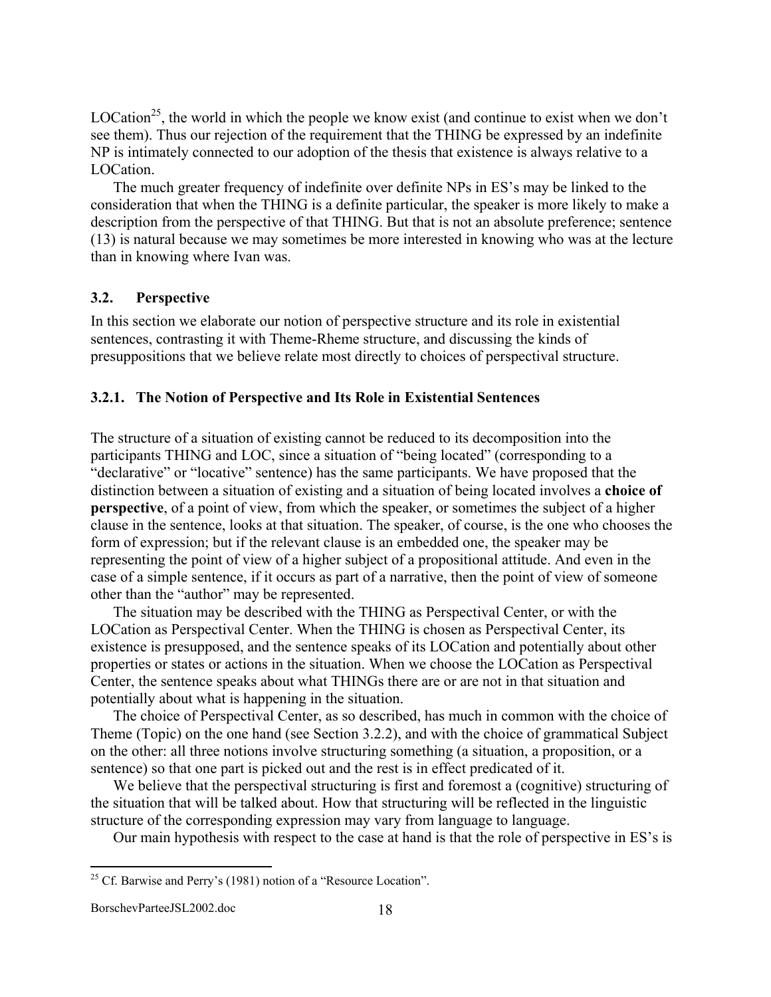LOCation<sup>25</sup>, the world in which the people we know exist (and continue to exist when we don't see them). Thus our rejection of the requirement that the THING be expressed by an indefinite NP is intimately connected to our adoption of the thesis that existence is always relative to a LOCation.

 The much greater frequency of indefinite over definite NPs in ES's may be linked to the consideration that when the THING is a definite particular, the speaker is more likely to make a description from the perspective of that THING. But that is not an absolute preference; sentence (13) is natural because we may sometimes be more interested in knowing who was at the lecture than in knowing where Ivan was.

## **3.2. Perspective**

In this section we elaborate our notion of perspective structure and its role in existential sentences, contrasting it with Theme-Rheme structure, and discussing the kinds of presuppositions that we believe relate most directly to choices of perspectival structure.

#### **3.2.1. The Notion of Perspective and Its Role in Existential Sentences**

The structure of a situation of existing cannot be reduced to its decomposition into the participants THING and LOC, since a situation of "being located" (corresponding to a "declarative" or "locative" sentence) has the same participants. We have proposed that the distinction between a situation of existing and a situation of being located involves a **choice of perspective**, of a point of view, from which the speaker, or sometimes the subject of a higher clause in the sentence, looks at that situation. The speaker, of course, is the one who chooses the form of expression; but if the relevant clause is an embedded one, the speaker may be representing the point of view of a higher subject of a propositional attitude. And even in the case of a simple sentence, if it occurs as part of a narrative, then the point of view of someone other than the "author" may be represented.

 The situation may be described with the THING as Perspectival Center, or with the LOCation as Perspectival Center. When the THING is chosen as Perspectival Center, its existence is presupposed, and the sentence speaks of its LOCation and potentially about other properties or states or actions in the situation. When we choose the LOCation as Perspectival Center, the sentence speaks about what THINGs there are or are not in that situation and potentially about what is happening in the situation.

 The choice of Perspectival Center, as so described, has much in common with the choice of Theme (Topic) on the one hand (see Section 3.2.2), and with the choice of grammatical Subject on the other: all three notions involve structuring something (a situation, a proposition, or a sentence) so that one part is picked out and the rest is in effect predicated of it.

 We believe that the perspectival structuring is first and foremost a (cognitive) structuring of the situation that will be talked about. How that structuring will be reflected in the linguistic structure of the corresponding expression may vary from language to language.

Our main hypothesis with respect to the case at hand is that the role of perspective in ES's is

BorschevParteeJSL2002.doc 18

<sup>&</sup>lt;sup>25</sup> Cf. Barwise and Perry's (1981) notion of a "Resource Location".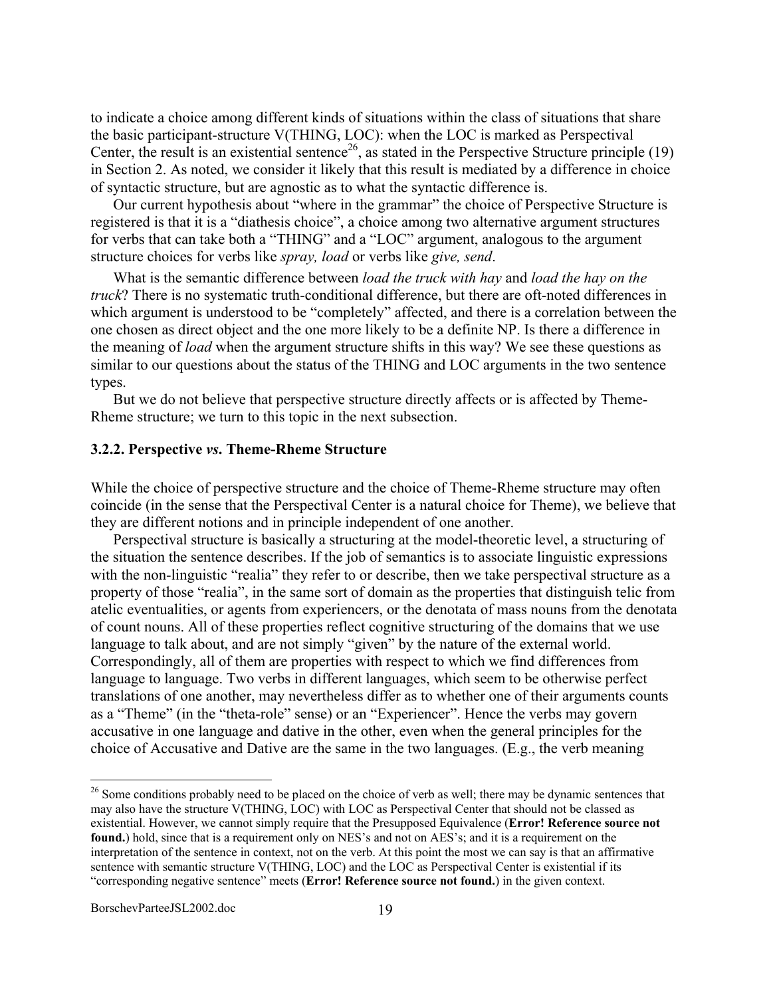to indicate a choice among different kinds of situations within the class of situations that share the basic participant-structure V(THING, LOC): when the LOC is marked as Perspectival Center, the result is an existential sentence<sup>26</sup>, as stated in the Perspective Structure principle (19) in Section 2. As noted, we consider it likely that this result is mediated by a difference in choice of syntactic structure, but are agnostic as to what the syntactic difference is.

 Our current hypothesis about "where in the grammar" the choice of Perspective Structure is registered is that it is a "diathesis choice", a choice among two alternative argument structures for verbs that can take both a "THING" and a "LOC" argument, analogous to the argument structure choices for verbs like *spray, load* or verbs like *give, send*.

 What is the semantic difference between *load the truck with hay* and *load the hay on the truck*? There is no systematic truth-conditional difference, but there are oft-noted differences in which argument is understood to be "completely" affected, and there is a correlation between the one chosen as direct object and the one more likely to be a definite NP. Is there a difference in the meaning of *load* when the argument structure shifts in this way? We see these questions as similar to our questions about the status of the THING and LOC arguments in the two sentence types.

 But we do not believe that perspective structure directly affects or is affected by Theme-Rheme structure; we turn to this topic in the next subsection.

### **3.2.2. Perspective** *vs***. Theme-Rheme Structure**

While the choice of perspective structure and the choice of Theme-Rheme structure may often coincide (in the sense that the Perspectival Center is a natural choice for Theme), we believe that they are different notions and in principle independent of one another.

 Perspectival structure is basically a structuring at the model-theoretic level, a structuring of the situation the sentence describes. If the job of semantics is to associate linguistic expressions with the non-linguistic "realia" they refer to or describe, then we take perspectival structure as a property of those "realia", in the same sort of domain as the properties that distinguish telic from atelic eventualities, or agents from experiencers, or the denotata of mass nouns from the denotata of count nouns. All of these properties reflect cognitive structuring of the domains that we use language to talk about, and are not simply "given" by the nature of the external world. Correspondingly, all of them are properties with respect to which we find differences from language to language. Two verbs in different languages, which seem to be otherwise perfect translations of one another, may nevertheless differ as to whether one of their arguments counts as a "Theme" (in the "theta-role" sense) or an "Experiencer". Hence the verbs may govern accusative in one language and dative in the other, even when the general principles for the choice of Accusative and Dative are the same in the two languages. (E.g., the verb meaning

<sup>&</sup>lt;sup>26</sup> Some conditions probably need to be placed on the choice of verb as well; there may be dynamic sentences that may also have the structure V(THING, LOC) with LOC as Perspectival Center that should not be classed as existential. However, we cannot simply require that the Presupposed Equivalence (**Error! Reference source not found.**) hold, since that is a requirement only on NES's and not on AES's; and it is a requirement on the interpretation of the sentence in context, not on the verb. At this point the most we can say is that an affirmative sentence with semantic structure V(THING, LOC) and the LOC as Perspectival Center is existential if its "corresponding negative sentence" meets (**Error! Reference source not found.**) in the given context.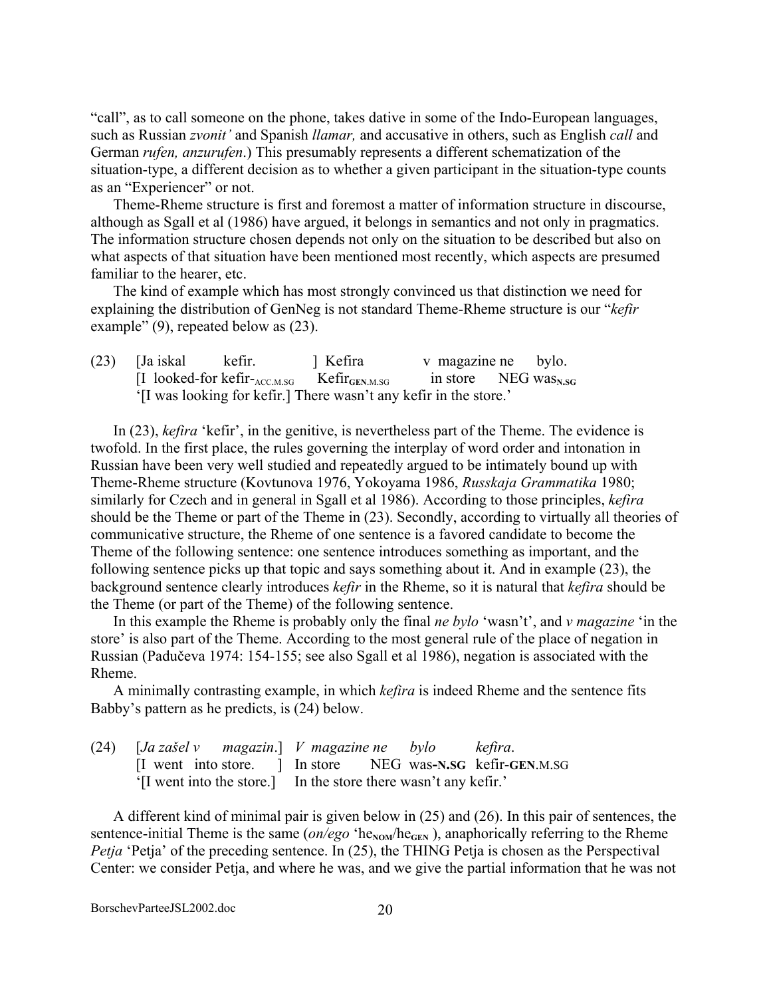"call", as to call someone on the phone, takes dative in some of the Indo-European languages, such as Russian *zvonit'* and Spanish *llamar,* and accusative in others, such as English *call* and German *rufen, anzurufen*.) This presumably represents a different schematization of the situation-type, a different decision as to whether a given participant in the situation-type counts as an "Experiencer" or not.

 Theme-Rheme structure is first and foremost a matter of information structure in discourse, although as Sgall et al (1986) have argued, it belongs in semantics and not only in pragmatics. The information structure chosen depends not only on the situation to be described but also on what aspects of that situation have been mentioned most recently, which aspects are presumed familiar to the hearer, etc.

 The kind of example which has most strongly convinced us that distinction we need for explaining the distribution of GenNeg is not standard Theme-Rheme structure is our "*kefir* example" (9), repeated below as (23).

| $(23)$ [Ja iskal] | kefir. | Kefira                                                                             | v magazine ne bylo.             |  |
|-------------------|--------|------------------------------------------------------------------------------------|---------------------------------|--|
|                   |        | $\left[1\right]$ looked-for kefir- $_{\text{ACC.M.SG}}$ Kefir $_{\text{GEN.M.SG}}$ | in store NEG was <sub>nsG</sub> |  |
|                   |        | '[I was looking for kefir.] There wasn't any kefir in the store.'                  |                                 |  |

 In (23), *kefira* 'kefir', in the genitive, is nevertheless part of the Theme. The evidence is twofold. In the first place, the rules governing the interplay of word order and intonation in Russian have been very well studied and repeatedly argued to be intimately bound up with Theme-Rheme structure (Kovtunova 1976, Yokoyama 1986, *Russkaja Grammatika* 1980; similarly for Czech and in general in Sgall et al 1986). According to those principles, *kefira* should be the Theme or part of the Theme in (23). Secondly, according to virtually all theories of communicative structure, the Rheme of one sentence is a favored candidate to become the Theme of the following sentence: one sentence introduces something as important, and the following sentence picks up that topic and says something about it. And in example (23), the background sentence clearly introduces *kefir* in the Rheme, so it is natural that *kefira* should be the Theme (or part of the Theme) of the following sentence.

 In this example the Rheme is probably only the final *ne bylo* 'wasn't', and *v magazine* 'in the store' is also part of the Theme. According to the most general rule of the place of negation in Russian (Padučeva 1974: 154-155; see also Sgall et al 1986), negation is associated with the Rheme.

 A minimally contrasting example, in which *kefira* is indeed Rheme and the sentence fits Babby's pattern as he predicts, is (24) below.

|                                                                 |  |  |  |  | (24) [Ja zašel v magazin.] V magazine ne bylo kefira. |                                                            |
|-----------------------------------------------------------------|--|--|--|--|-------------------------------------------------------|------------------------------------------------------------|
|                                                                 |  |  |  |  |                                                       | [I went into store. ] In store NEG was-N.SG kefir-GEN.M.SG |
| '[I went into the store.] In the store there wasn't any kefir.' |  |  |  |  |                                                       |                                                            |

 A different kind of minimal pair is given below in (25) and (26). In this pair of sentences, the sentence-initial Theme is the same (*on/ego* 'he<sub>NOM</sub>/he<sub>GEN</sub>), anaphorically referring to the Rheme *Petja* 'Petja' of the preceding sentence. In (25), the THING Petja is chosen as the Perspectival Center: we consider Petja, and where he was, and we give the partial information that he was not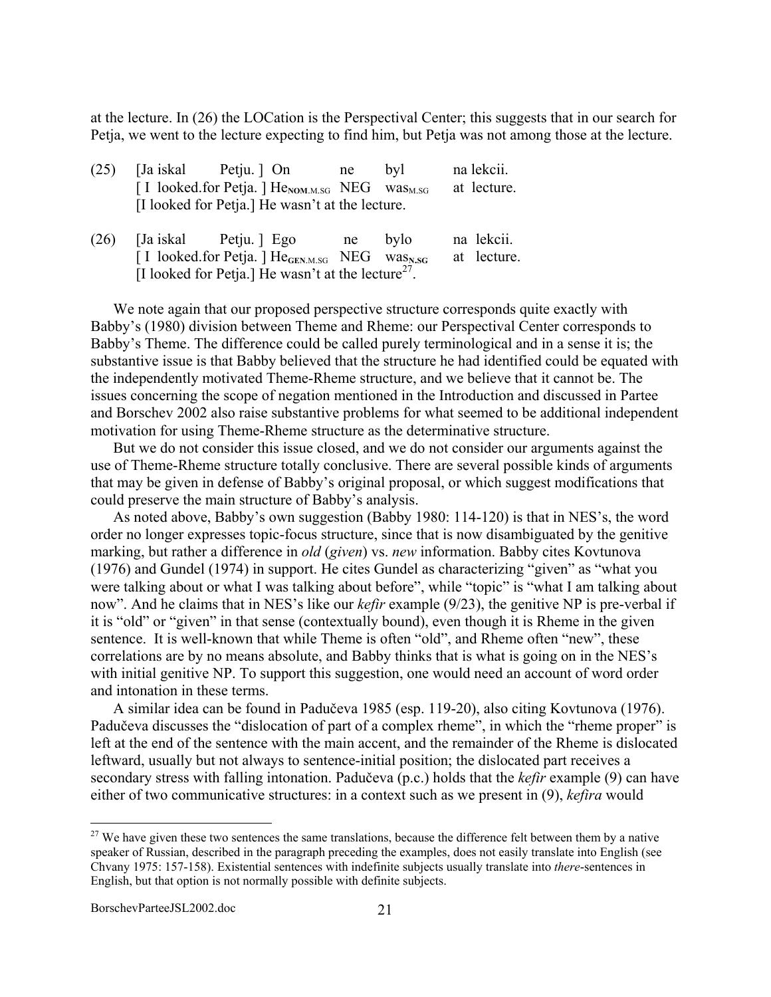at the lecture. In (26) the LOCation is the Perspectival Center; this suggests that in our search for Petja, we went to the lecture expecting to find him, but Petja was not among those at the lecture.

| (25) |                                                                | [Ja iskal Petju. ] On ne byl                                                                           |  |  | na lekcii.                |
|------|----------------------------------------------------------------|--------------------------------------------------------------------------------------------------------|--|--|---------------------------|
|      |                                                                | [I looked.for Petja.] He <sub>NOM.M.SG</sub> NEG was <sub>M.SG</sub>                                   |  |  | at lecture.               |
|      | [I looked for Petja.] He wasn't at the lecture.                |                                                                                                        |  |  |                           |
| (26) |                                                                | [Ja iskal Petju. ] Ego ne bylo<br>[I looked.for Petja.] He <sub>GEN.M.SG</sub> NEG was <sub>N.SG</sub> |  |  | na lekcii.<br>at lecture. |
|      | [I looked for Petja.] He wasn't at the lecture <sup>27</sup> . |                                                                                                        |  |  |                           |

 We note again that our proposed perspective structure corresponds quite exactly with Babby's (1980) division between Theme and Rheme: our Perspectival Center corresponds to Babby's Theme. The difference could be called purely terminological and in a sense it is; the substantive issue is that Babby believed that the structure he had identified could be equated with the independently motivated Theme-Rheme structure, and we believe that it cannot be. The issues concerning the scope of negation mentioned in the Introduction and discussed in Partee and Borschev 2002 also raise substantive problems for what seemed to be additional independent motivation for using Theme-Rheme structure as the determinative structure.

 But we do not consider this issue closed, and we do not consider our arguments against the use of Theme-Rheme structure totally conclusive. There are several possible kinds of arguments that may be given in defense of Babby's original proposal, or which suggest modifications that could preserve the main structure of Babby's analysis.

 As noted above, Babby's own suggestion (Babby 1980: 114-120) is that in NES's, the word order no longer expresses topic-focus structure, since that is now disambiguated by the genitive marking, but rather a difference in *old* (*given*) vs. *new* information. Babby cites Kovtunova (1976) and Gundel (1974) in support. He cites Gundel as characterizing "given" as "what you were talking about or what I was talking about before", while "topic" is "what I am talking about now". And he claims that in NES's like our *kefir* example (9/23), the genitive NP is pre-verbal if it is "old" or "given" in that sense (contextually bound), even though it is Rheme in the given sentence. It is well-known that while Theme is often "old", and Rheme often "new", these correlations are by no means absolute, and Babby thinks that is what is going on in the NES's with initial genitive NP. To support this suggestion, one would need an account of word order and intonation in these terms.

 A similar idea can be found in Padučeva 1985 (esp. 119-20), also citing Kovtunova (1976). Padučeva discusses the "dislocation of part of a complex rheme", in which the "rheme proper" is left at the end of the sentence with the main accent, and the remainder of the Rheme is dislocated leftward, usually but not always to sentence-initial position; the dislocated part receives a secondary stress with falling intonation. Padučeva (p.c.) holds that the *kefir* example (9) can have either of two communicative structures: in a context such as we present in (9), *kefira* would

 $27$  We have given these two sentences the same translations, because the difference felt between them by a native speaker of Russian, described in the paragraph preceding the examples, does not easily translate into English (see Chvany 1975: 157-158). Existential sentences with indefinite subjects usually translate into *there*-sentences in English, but that option is not normally possible with definite subjects.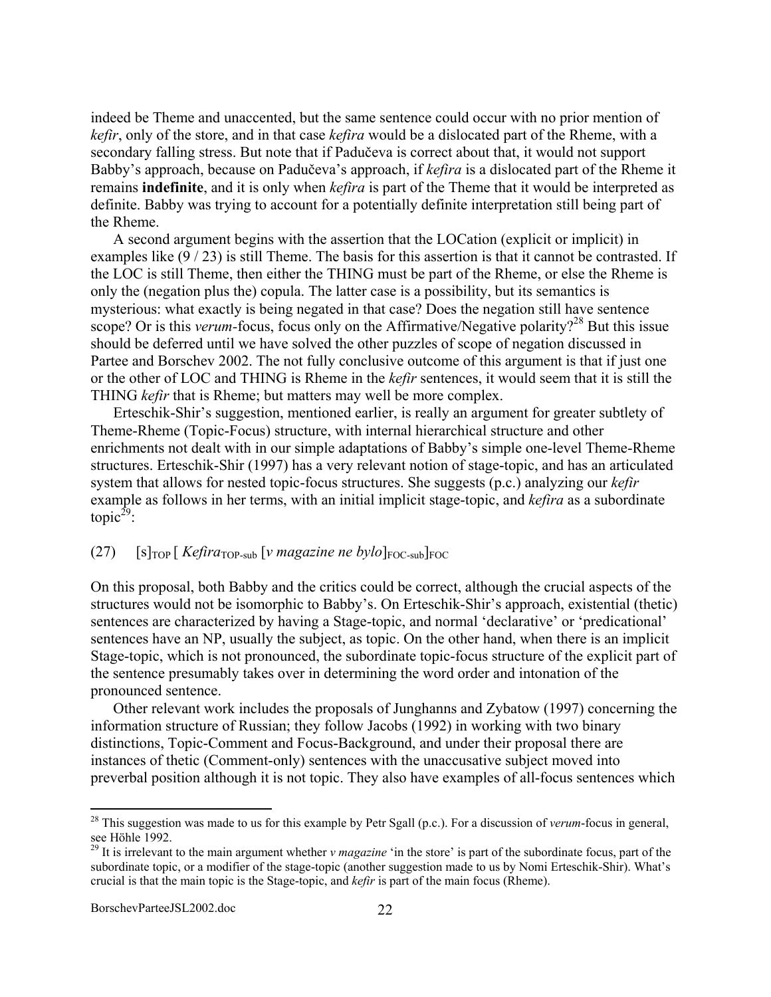indeed be Theme and unaccented, but the same sentence could occur with no prior mention of *kefir*, only of the store, and in that case *kefira* would be a dislocated part of the Rheme, with a secondary falling stress. But note that if Padučeva is correct about that, it would not support Babby's approach, because on Padučeva's approach, if *kefira* is a dislocated part of the Rheme it remains **indefinite**, and it is only when *kefira* is part of the Theme that it would be interpreted as definite. Babby was trying to account for a potentially definite interpretation still being part of the Rheme.

 A second argument begins with the assertion that the LOCation (explicit or implicit) in examples like (9 / 23) is still Theme. The basis for this assertion is that it cannot be contrasted. If the LOC is still Theme, then either the THING must be part of the Rheme, or else the Rheme is only the (negation plus the) copula. The latter case is a possibility, but its semantics is mysterious: what exactly is being negated in that case? Does the negation still have sentence scope? Or is this *verum*-focus, focus only on the Affirmative/Negative polarity?<sup>28</sup> But this issue should be deferred until we have solved the other puzzles of scope of negation discussed in Partee and Borschev 2002. The not fully conclusive outcome of this argument is that if just one or the other of LOC and THING is Rheme in the *kefir* sentences, it would seem that it is still the THING *kefir* that is Rheme; but matters may well be more complex.

 Erteschik-Shir's suggestion, mentioned earlier, is really an argument for greater subtlety of Theme-Rheme (Topic-Focus) structure, with internal hierarchical structure and other enrichments not dealt with in our simple adaptations of Babby's simple one-level Theme-Rheme structures. Erteschik-Shir (1997) has a very relevant notion of stage-topic, and has an articulated system that allows for nested topic-focus structures. She suggests (p.c.) analyzing our *kefir* example as follows in her terms, with an initial implicit stage-topic, and *kefira* as a subordinate topic<sup>29</sup>:

# (27) [s]TOP [ *Kefira*TOP-sub [*v magazine ne bylo*]FOC-sub]FOC

On this proposal, both Babby and the critics could be correct, although the crucial aspects of the structures would not be isomorphic to Babby's. On Erteschik-Shir's approach, existential (thetic) sentences are characterized by having a Stage-topic, and normal 'declarative' or 'predicational' sentences have an NP, usually the subject, as topic. On the other hand, when there is an implicit Stage-topic, which is not pronounced, the subordinate topic-focus structure of the explicit part of the sentence presumably takes over in determining the word order and intonation of the pronounced sentence.

 Other relevant work includes the proposals of Junghanns and Zybatow (1997) concerning the information structure of Russian; they follow Jacobs (1992) in working with two binary distinctions, Topic-Comment and Focus-Background, and under their proposal there are instances of thetic (Comment-only) sentences with the unaccusative subject moved into preverbal position although it is not topic. They also have examples of all-focus sentences which

<u>.</u>

<sup>28</sup> This suggestion was made to us for this example by Petr Sgall (p.c.). For a discussion of *verum*-focus in general, see Höhle 1992.

<sup>&</sup>lt;sup>29</sup> It is irrelevant to the main argument whether *v* magazine 'in the store' is part of the subordinate focus, part of the subordinate topic, or a modifier of the stage-topic (another suggestion made to us by Nomi Erteschik-Shir). What's crucial is that the main topic is the Stage-topic, and *kefir* is part of the main focus (Rheme).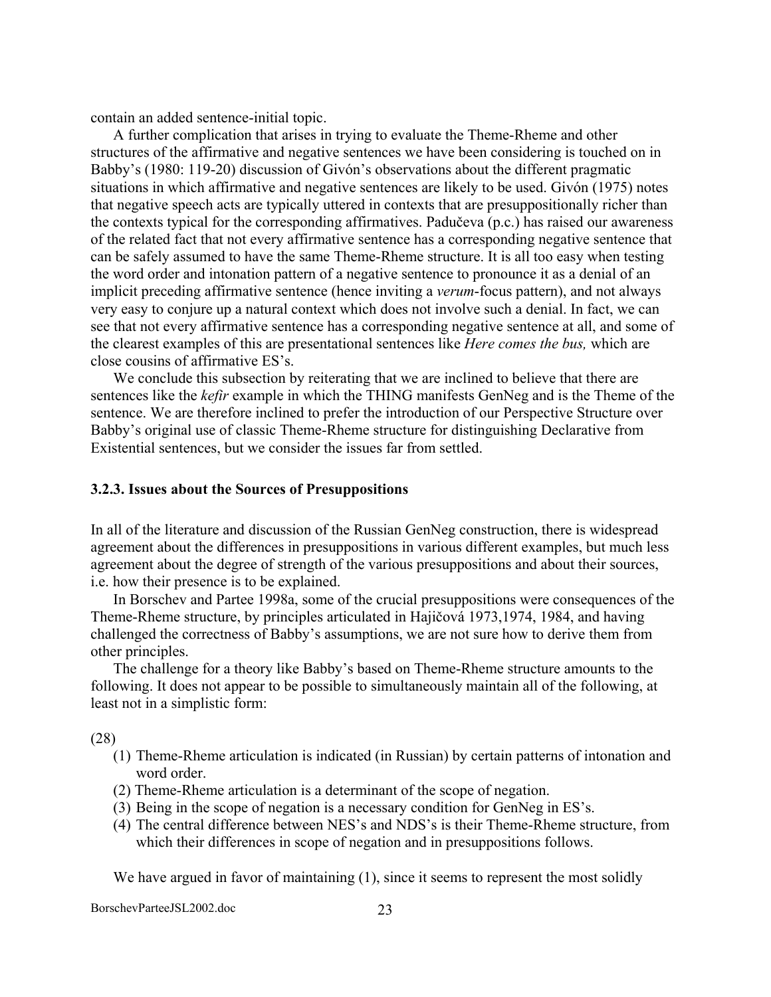contain an added sentence-initial topic.

 A further complication that arises in trying to evaluate the Theme-Rheme and other structures of the affirmative and negative sentences we have been considering is touched on in Babby's (1980: 119-20) discussion of Givón's observations about the different pragmatic situations in which affirmative and negative sentences are likely to be used. Givón (1975) notes that negative speech acts are typically uttered in contexts that are presuppositionally richer than the contexts typical for the corresponding affirmatives. Padučeva (p.c.) has raised our awareness of the related fact that not every affirmative sentence has a corresponding negative sentence that can be safely assumed to have the same Theme-Rheme structure. It is all too easy when testing the word order and intonation pattern of a negative sentence to pronounce it as a denial of an implicit preceding affirmative sentence (hence inviting a *verum*-focus pattern), and not always very easy to conjure up a natural context which does not involve such a denial. In fact, we can see that not every affirmative sentence has a corresponding negative sentence at all, and some of the clearest examples of this are presentational sentences like *Here comes the bus,* which are close cousins of affirmative ES's.

 We conclude this subsection by reiterating that we are inclined to believe that there are sentences like the *kefir* example in which the THING manifests GenNeg and is the Theme of the sentence. We are therefore inclined to prefer the introduction of our Perspective Structure over Babby's original use of classic Theme-Rheme structure for distinguishing Declarative from Existential sentences, but we consider the issues far from settled.

#### **3.2.3. Issues about the Sources of Presuppositions**

In all of the literature and discussion of the Russian GenNeg construction, there is widespread agreement about the differences in presuppositions in various different examples, but much less agreement about the degree of strength of the various presuppositions and about their sources, i.e. how their presence is to be explained.

 In Borschev and Partee 1998a, some of the crucial presuppositions were consequences of the Theme-Rheme structure, by principles articulated in Hajičová 1973,1974, 1984, and having challenged the correctness of Babby's assumptions, we are not sure how to derive them from other principles.

 The challenge for a theory like Babby's based on Theme-Rheme structure amounts to the following. It does not appear to be possible to simultaneously maintain all of the following, at least not in a simplistic form:

(28)

- (1) Theme-Rheme articulation is indicated (in Russian) by certain patterns of intonation and word order
- (2) Theme-Rheme articulation is a determinant of the scope of negation.
- (3) Being in the scope of negation is a necessary condition for GenNeg in ES's.
- (4) The central difference between NES's and NDS's is their Theme-Rheme structure, from which their differences in scope of negation and in presuppositions follows.

We have argued in favor of maintaining (1), since it seems to represent the most solidly

BorschevParteeJSL2002.doc 23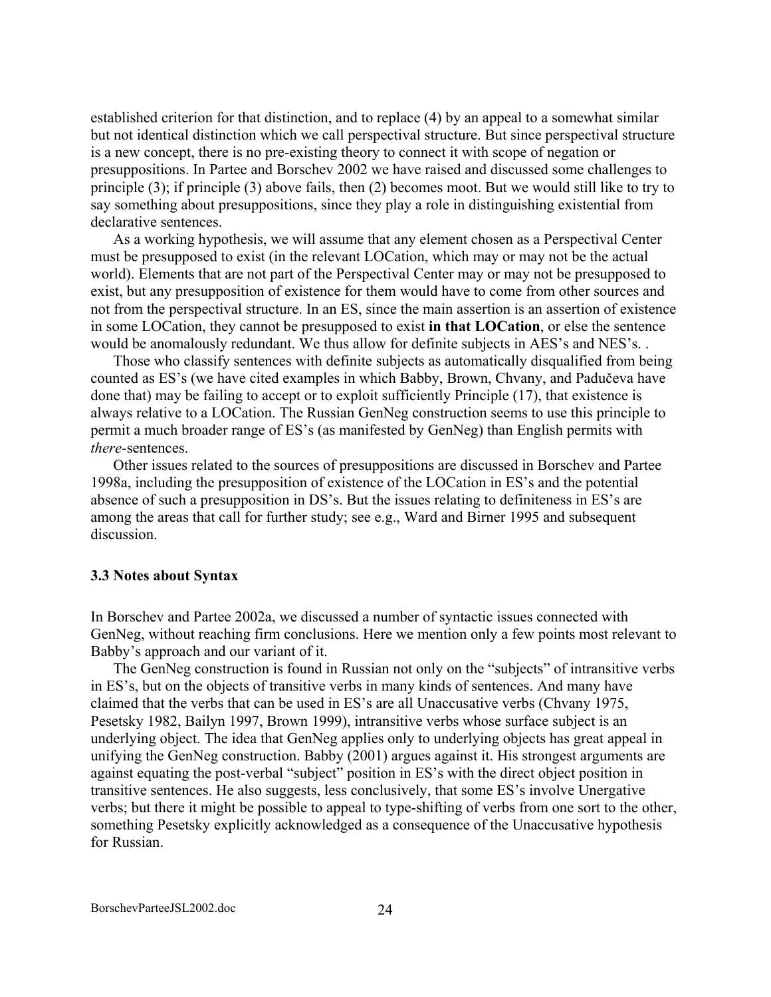established criterion for that distinction, and to replace (4) by an appeal to a somewhat similar but not identical distinction which we call perspectival structure. But since perspectival structure is a new concept, there is no pre-existing theory to connect it with scope of negation or presuppositions. In Partee and Borschev 2002 we have raised and discussed some challenges to principle (3); if principle (3) above fails, then (2) becomes moot. But we would still like to try to say something about presuppositions, since they play a role in distinguishing existential from declarative sentences.

 As a working hypothesis, we will assume that any element chosen as a Perspectival Center must be presupposed to exist (in the relevant LOCation, which may or may not be the actual world). Elements that are not part of the Perspectival Center may or may not be presupposed to exist, but any presupposition of existence for them would have to come from other sources and not from the perspectival structure. In an ES, since the main assertion is an assertion of existence in some LOCation, they cannot be presupposed to exist **in that LOCation**, or else the sentence would be anomalously redundant. We thus allow for definite subjects in AES's and NES's. .

 Those who classify sentences with definite subjects as automatically disqualified from being counted as ES's (we have cited examples in which Babby, Brown, Chvany, and Padučeva have done that) may be failing to accept or to exploit sufficiently Principle (17), that existence is always relative to a LOCation. The Russian GenNeg construction seems to use this principle to permit a much broader range of ES's (as manifested by GenNeg) than English permits with *there*-sentences.

 Other issues related to the sources of presuppositions are discussed in Borschev and Partee 1998a, including the presupposition of existence of the LOCation in ES's and the potential absence of such a presupposition in DS's. But the issues relating to definiteness in ES's are among the areas that call for further study; see e.g., Ward and Birner 1995 and subsequent discussion.

### **3.3 Notes about Syntax**

In Borschev and Partee 2002a, we discussed a number of syntactic issues connected with GenNeg, without reaching firm conclusions. Here we mention only a few points most relevant to Babby's approach and our variant of it.

 The GenNeg construction is found in Russian not only on the "subjects" of intransitive verbs in ES's, but on the objects of transitive verbs in many kinds of sentences. And many have claimed that the verbs that can be used in ES's are all Unaccusative verbs (Chvany 1975, Pesetsky 1982, Bailyn 1997, Brown 1999), intransitive verbs whose surface subject is an underlying object. The idea that GenNeg applies only to underlying objects has great appeal in unifying the GenNeg construction. Babby (2001) argues against it. His strongest arguments are against equating the post-verbal "subject" position in ES's with the direct object position in transitive sentences. He also suggests, less conclusively, that some ES's involve Unergative verbs; but there it might be possible to appeal to type-shifting of verbs from one sort to the other, something Pesetsky explicitly acknowledged as a consequence of the Unaccusative hypothesis for Russian.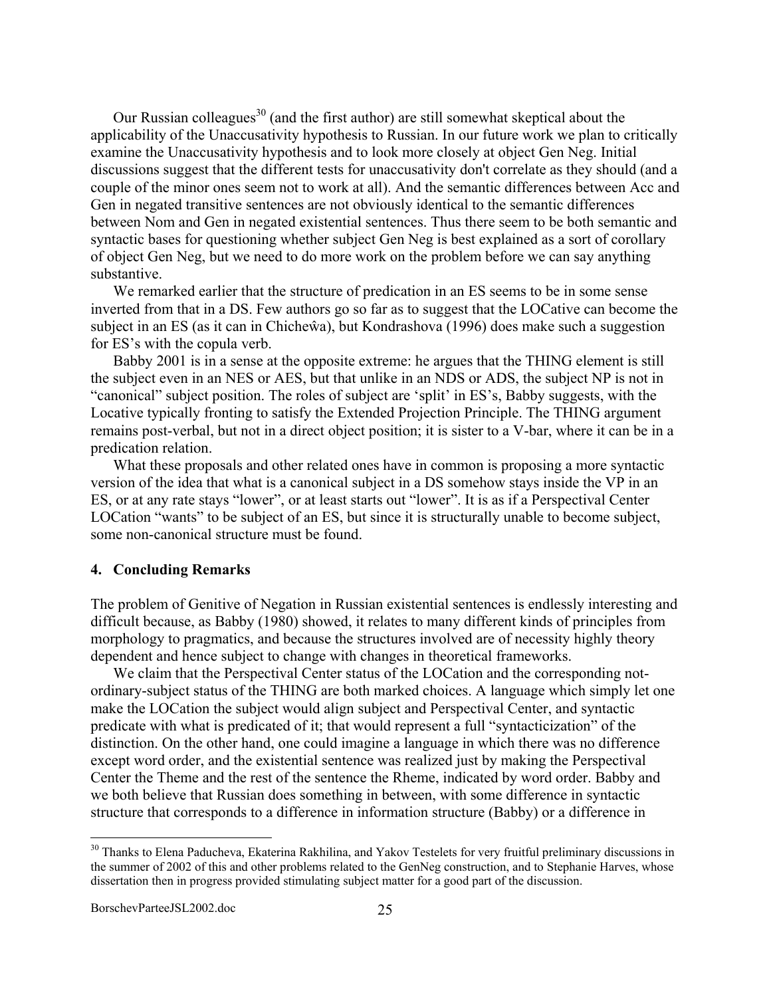Our Russian colleagues<sup>30</sup> (and the first author) are still somewhat skeptical about the applicability of the Unaccusativity hypothesis to Russian. In our future work we plan to critically examine the Unaccusativity hypothesis and to look more closely at object Gen Neg. Initial discussions suggest that the different tests for unaccusativity don't correlate as they should (and a couple of the minor ones seem not to work at all). And the semantic differences between Acc and Gen in negated transitive sentences are not obviously identical to the semantic differences between Nom and Gen in negated existential sentences. Thus there seem to be both semantic and syntactic bases for questioning whether subject Gen Neg is best explained as a sort of corollary of object Gen Neg, but we need to do more work on the problem before we can say anything substantive.

 We remarked earlier that the structure of predication in an ES seems to be in some sense inverted from that in a DS. Few authors go so far as to suggest that the LOCative can become the subject in an ES (as it can in Chicheŵa), but Kondrashova (1996) does make such a suggestion for ES's with the copula verb.

 Babby 2001 is in a sense at the opposite extreme: he argues that the THING element is still the subject even in an NES or AES, but that unlike in an NDS or ADS, the subject NP is not in "canonical" subject position. The roles of subject are 'split' in ES's, Babby suggests, with the Locative typically fronting to satisfy the Extended Projection Principle. The THING argument remains post-verbal, but not in a direct object position; it is sister to a V-bar, where it can be in a predication relation.

 What these proposals and other related ones have in common is proposing a more syntactic version of the idea that what is a canonical subject in a DS somehow stays inside the VP in an ES, or at any rate stays "lower", or at least starts out "lower". It is as if a Perspectival Center LOCation "wants" to be subject of an ES, but since it is structurally unable to become subject, some non-canonical structure must be found.

### **4. Concluding Remarks**

The problem of Genitive of Negation in Russian existential sentences is endlessly interesting and difficult because, as Babby (1980) showed, it relates to many different kinds of principles from morphology to pragmatics, and because the structures involved are of necessity highly theory dependent and hence subject to change with changes in theoretical frameworks.

 We claim that the Perspectival Center status of the LOCation and the corresponding notordinary-subject status of the THING are both marked choices. A language which simply let one make the LOCation the subject would align subject and Perspectival Center, and syntactic predicate with what is predicated of it; that would represent a full "syntacticization" of the distinction. On the other hand, one could imagine a language in which there was no difference except word order, and the existential sentence was realized just by making the Perspectival Center the Theme and the rest of the sentence the Rheme, indicated by word order. Babby and we both believe that Russian does something in between, with some difference in syntactic structure that corresponds to a difference in information structure (Babby) or a difference in

<sup>&</sup>lt;sup>30</sup> Thanks to Elena Paducheva, Ekaterina Rakhilina, and Yakov Testelets for very fruitful preliminary discussions in the summer of 2002 of this and other problems related to the GenNeg construction, and to Stephanie Harves, whose dissertation then in progress provided stimulating subject matter for a good part of the discussion.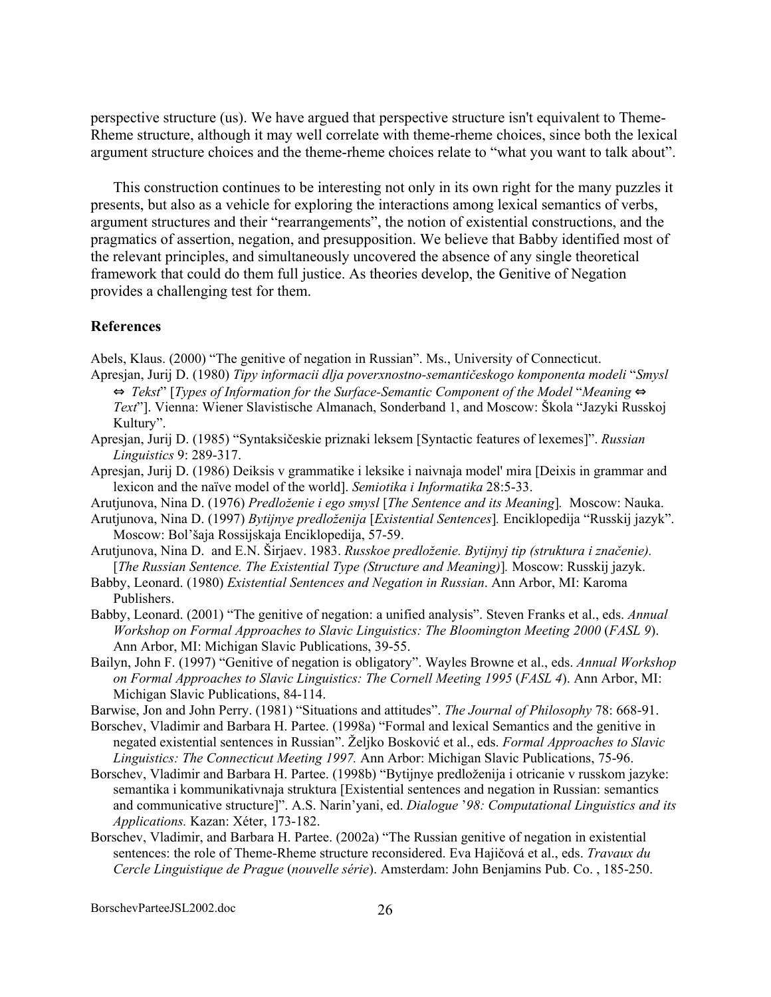perspective structure (us). We have argued that perspective structure isn't equivalent to Theme-Rheme structure, although it may well correlate with theme-rheme choices, since both the lexical argument structure choices and the theme-rheme choices relate to "what you want to talk about".

 This construction continues to be interesting not only in its own right for the many puzzles it presents, but also as a vehicle for exploring the interactions among lexical semantics of verbs, argument structures and their "rearrangements", the notion of existential constructions, and the pragmatics of assertion, negation, and presupposition. We believe that Babby identified most of the relevant principles, and simultaneously uncovered the absence of any single theoretical framework that could do them full justice. As theories develop, the Genitive of Negation provides a challenging test for them.

#### **References**

Abels, Klaus. (2000) "The genitive of negation in Russian". Ms., University of Connecticut.

- Apresjan, Jurij D. (1980) *Tipy informacii dlja poverxnostno-semantičeskogo komponenta modeli* "*Smysl*  ⇔ *Tekst*" [*Types of Information for the Surface-Semantic Component of the Model* "*Meaning* ⇔ *Text*"]. Vienna: Wiener Slavistische Almanach, Sonderband 1, and Moscow: Škola "Jazyki Russkoj Kultury".
- Apresjan, Jurij D. (1985) "Syntaksičeskie priznaki leksem [Syntactic features of lexemes]". *Russian Linguistics* 9: 289-317.
- Apresjan, Jurij D. (1986) Deiksis v grammatike i leksike i naivnaja model' mira [Deixis in grammar and lexicon and the naïve model of the world]. *Semiotika i Informatika* 28:5-33.
- Arutjunova, Nina D. (1976) *Predloženie i ego smysl* [*The Sentence and its Meaning*]*.* Moscow: Nauka.
- Arutjunova, Nina D. (1997) *Bytijnye predloženija* [*Existential Sentences*]*.* Enciklopedija "Russkij jazyk". Moscow: Bol'šaja Rossijskaja Enciklopedija, 57-59.
- Arutjunova, Nina D. and E.N. Širjaev. 1983. *Russkoe predloženie. Bytijnyj tip (struktura i značenie).*  [*The Russian Sentence. The Existential Type (Structure and Meaning)*]*.* Moscow: Russkij jazyk.
- Babby, Leonard. (1980) *Existential Sentences and Negation in Russian*. Ann Arbor, MI: Karoma Publishers.
- Babby, Leonard. (2001) "The genitive of negation: a unified analysis". Steven Franks et al., eds. *Annual Workshop on Formal Approaches to Slavic Linguistics: The Bloomington Meeting 2000 (FASL 9).* Ann Arbor, MI: Michigan Slavic Publications, 39-55.
- Bailyn, John F. (1997) "Genitive of negation is obligatory". Wayles Browne et al., eds. *Annual Workshop on Formal Approaches to Slavic Linguistics: The Cornell Meeting 1995* (*FASL 4*). Ann Arbor, MI: Michigan Slavic Publications, 84-114.
- Barwise, Jon and John Perry. (1981) "Situations and attitudes". *The Journal of Philosophy* 78: 668-91.
- Borschev, Vladimir and Barbara H. Partee. (1998a) "Formal and lexical Semantics and the genitive in negated existential sentences in Russian". Željko Bosković et al., eds. *Formal Approaches to Slavic Linguistics: The Connecticut Meeting 1997.* Ann Arbor: Michigan Slavic Publications, 75-96.
- Borschev, Vladimir and Barbara H. Partee. (1998b) "Bytijnye predloženija i otricanie v russkom jazyke: semantika i kommunikativnaja struktura [Existential sentences and negation in Russian: semantics and communicative structure]". A.S. Narin'yani, ed. *Dialogue* '*98: Computational Linguistics and its Applications.* Kazan: Xéter, 173-182.
- Borschev, Vladimir, and Barbara H. Partee. (2002a) "The Russian genitive of negation in existential sentences: the role of Theme-Rheme structure reconsidered. Eva Hajičová et al., eds. *Travaux du Cercle Linguistique de Prague* (*nouvelle série*). Amsterdam: John Benjamins Pub. Co. , 185-250.

BorschevParteeJSL2002.doc 26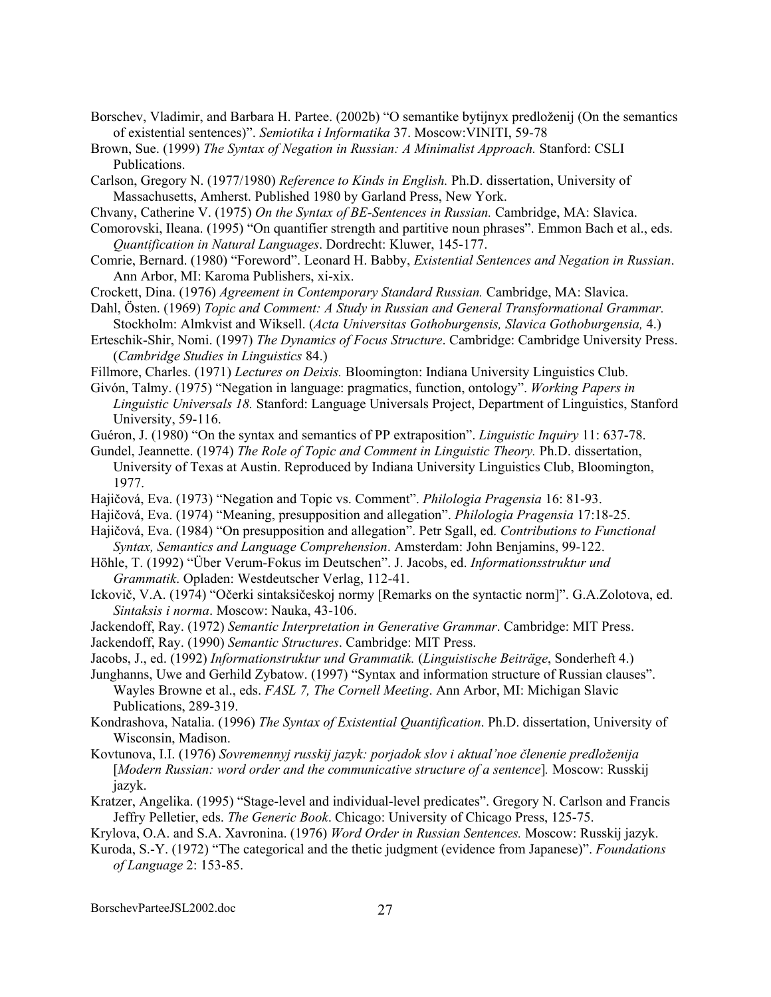- Borschev, Vladimir, and Barbara H. Partee. (2002b) "O semantike bytijnyx predloženij (On the semantics of existential sentences)". *Semiotika i Informatika* 37. Moscow:VINITI, 59-78
- Brown, Sue. (1999) *The Syntax of Negation in Russian: A Minimalist Approach.* Stanford: CSLI Publications.
- Carlson, Gregory N. (1977/1980) *Reference to Kinds in English.* Ph.D. dissertation, University of Massachusetts, Amherst. Published 1980 by Garland Press, New York.
- Chvany, Catherine V. (1975) *On the Syntax of BE-Sentences in Russian.* Cambridge, MA: Slavica.
- Comorovski, Ileana. (1995) "On quantifier strength and partitive noun phrases". Emmon Bach et al., eds. *Quantification in Natural Languages*. Dordrecht: Kluwer, 145-177.
- Comrie, Bernard. (1980) "Foreword". Leonard H. Babby, *Existential Sentences and Negation in Russian*. Ann Arbor, MI: Karoma Publishers, xi-xix.
- Crockett, Dina. (1976) *Agreement in Contemporary Standard Russian.* Cambridge, MA: Slavica.
- Dahl, Östen. (1969) *Topic and Comment: A Study in Russian and General Transformational Grammar.* Stockholm: Almkvist and Wiksell. (*Acta Universitas Gothoburgensis, Slavica Gothoburgensia,* 4.)
- Erteschik-Shir, Nomi. (1997) *The Dynamics of Focus Structure*. Cambridge: Cambridge University Press. (*Cambridge Studies in Linguistics* 84.)
- Fillmore, Charles. (1971) *Lectures on Deixis.* Bloomington: Indiana University Linguistics Club.
- Givón, Talmy. (1975) "Negation in language: pragmatics, function, ontology". *Working Papers in Linguistic Universals 18.* Stanford: Language Universals Project, Department of Linguistics, Stanford University, 59-116.
- Guéron, J. (1980) "On the syntax and semantics of PP extraposition". *Linguistic Inquiry* 11: 637-78.
- Gundel, Jeannette. (1974) *The Role of Topic and Comment in Linguistic Theory.* Ph.D. dissertation, University of Texas at Austin. Reproduced by Indiana University Linguistics Club, Bloomington, 1977.
- Hajičová, Eva. (1973) "Negation and Topic vs. Comment". *Philologia Pragensia* 16: 81-93.
- Hajičová, Eva. (1974) "Meaning, presupposition and allegation". *Philologia Pragensia* 17:18-25.
- Hajičová, Eva. (1984) "On presupposition and allegation". Petr Sgall, ed. *Contributions to Functional Syntax, Semantics and Language Comprehension*. Amsterdam: John Benjamins, 99-122.
- Höhle, T. (1992) "Über Verum-Fokus im Deutschen". J. Jacobs, ed. *Informationsstruktur und Grammatik*. Opladen: Westdeutscher Verlag, 112-41.
- Ickovič, V.A. (1974) "Očerki sintaksičeskoj normy [Remarks on the syntactic norm]". G.A.Zolotova, ed. *Sintaksis i norma*. Moscow: Nauka, 43-106.
- Jackendoff, Ray. (1972) *Semantic Interpretation in Generative Grammar*. Cambridge: MIT Press.
- Jackendoff, Ray. (1990) *Semantic Structures*. Cambridge: MIT Press.
- Jacobs, J., ed. (1992) *Informationstruktur und Grammatik.* (*Linguistische Beiträge*, Sonderheft 4.)
- Junghanns, Uwe and Gerhild Zybatow. (1997) "Syntax and information structure of Russian clauses". Wayles Browne et al., eds. *FASL 7, The Cornell Meeting*. Ann Arbor, MI: Michigan Slavic Publications, 289-319.
- Kondrashova, Natalia. (1996) *The Syntax of Existential Quantification*. Ph.D. dissertation, University of Wisconsin, Madison.
- Kovtunova, I.I. (1976) *Sovremennyj russkij jazyk: porjadok slov i aktual'noe členenie predloženija*  [*Modern Russian: word order and the communicative structure of a sentence*]*.* Moscow: Russkij jazyk.
- Kratzer, Angelika. (1995) "Stage-level and individual-level predicates". Gregory N. Carlson and Francis Jeffry Pelletier, eds. *The Generic Book*. Chicago: University of Chicago Press, 125-75.
- Krylova, O.A. and S.A. Xavronina. (1976) *Word Order in Russian Sentences.* Moscow: Russkij jazyk.
- Kuroda, S.-Y. (1972) "The categorical and the thetic judgment (evidence from Japanese)". *Foundations of Language* 2: 153-85.

BorschevParteeJSL2002.doc 27